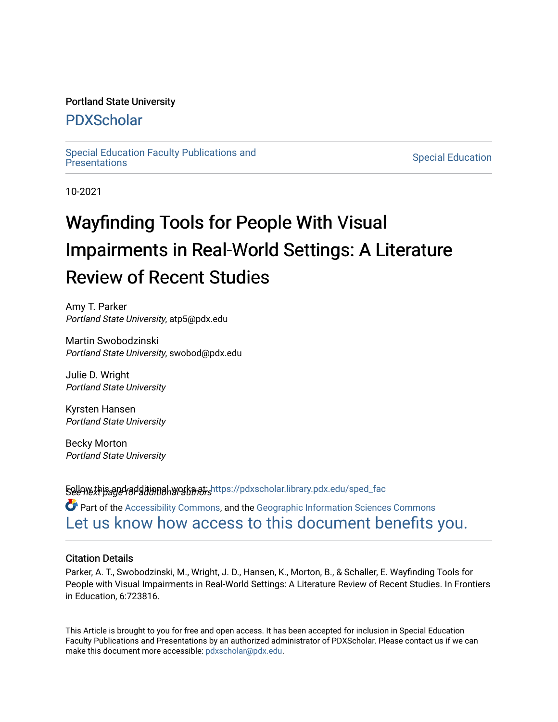## Portland State University

# [PDXScholar](https://pdxscholar.library.pdx.edu/)

[Special Education Faculty Publications and](https://pdxscholar.library.pdx.edu/sped_fac)

**Special Education** 

10-2021

# Wayfinding Tools for People With Visual Impairments in Real-World Settings: A Literature Review of Recent Studies

Amy T. Parker Portland State University, atp5@pdx.edu

Martin Swobodzinski Portland State University, swobod@pdx.edu

Julie D. Wright Portland State University

Kyrsten Hansen Portland State University

Becky Morton Portland State University

**Follow this and additional works at: https://pdxscholar.library.pdx.edu/sped\_fac** 

Part of the [Accessibility Commons,](http://network.bepress.com/hgg/discipline/1318?utm_source=pdxscholar.library.pdx.edu%2Fsped_fac%2F48&utm_medium=PDF&utm_campaign=PDFCoverPages) and the [Geographic Information Sciences Commons](http://network.bepress.com/hgg/discipline/358?utm_source=pdxscholar.library.pdx.edu%2Fsped_fac%2F48&utm_medium=PDF&utm_campaign=PDFCoverPages) [Let us know how access to this document benefits you.](http://library.pdx.edu/services/pdxscholar-services/pdxscholar-feedback/?ref=https://pdxscholar.library.pdx.edu/sped_fac/48) 

### Citation Details

Parker, A. T., Swobodzinski, M., Wright, J. D., Hansen, K., Morton, B., & Schaller, E. Wayfinding Tools for People with Visual Impairments in Real-World Settings: A Literature Review of Recent Studies. In Frontiers in Education, 6:723816.

This Article is brought to you for free and open access. It has been accepted for inclusion in Special Education Faculty Publications and Presentations by an authorized administrator of PDXScholar. Please contact us if we can make this document more accessible: [pdxscholar@pdx.edu.](mailto:pdxscholar@pdx.edu)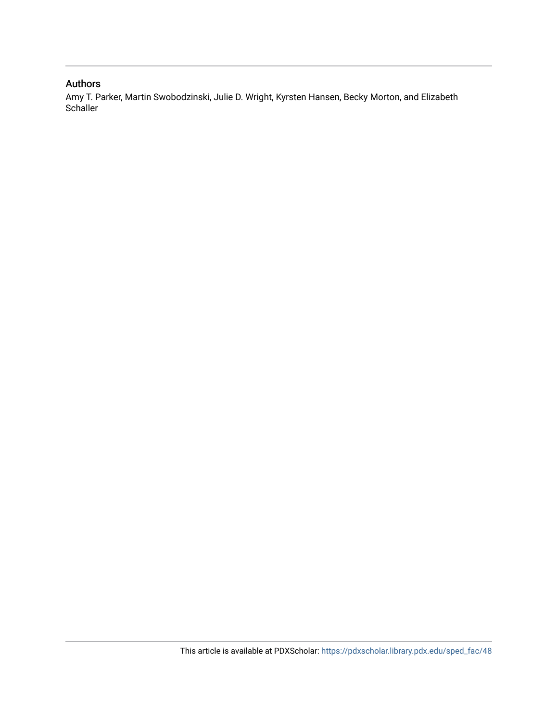## Authors

Amy T. Parker, Martin Swobodzinski, Julie D. Wright, Kyrsten Hansen, Becky Morton, and Elizabeth **Schaller**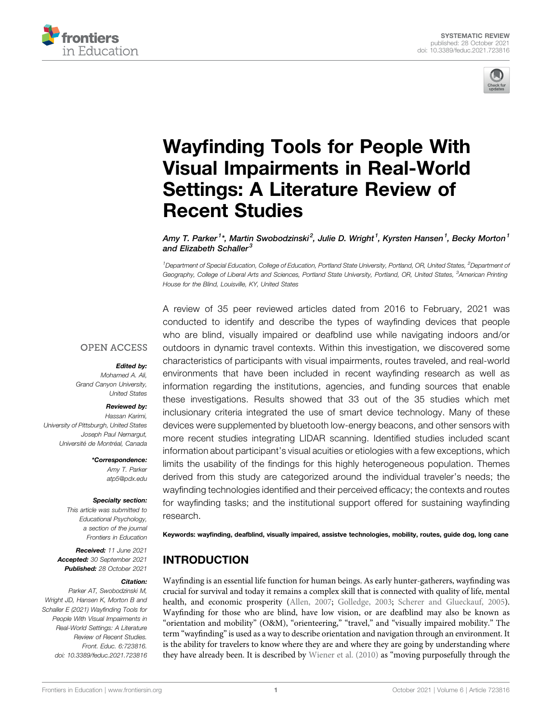



# Wayfi[nding Tools for People With](https://www.frontiersin.org/articles/10.3389/feduc.2021.723816/full) [Visual Impairments in Real-World](https://www.frontiersin.org/articles/10.3389/feduc.2021.723816/full) [Settings: A Literature Review of](https://www.frontiersin.org/articles/10.3389/feduc.2021.723816/full) [Recent Studies](https://www.frontiersin.org/articles/10.3389/feduc.2021.723816/full)

Amy T. Parker<sup>1</sup>\*, Martin Swobodzinski<sup>2</sup>, Julie D. Wright<sup>1</sup>, Kyrsten Hansen<sup>1</sup>, Becky Morton<sup>1</sup> and Elizabeth Schaller $3$ 

<sup>1</sup> Department of Special Education, College of Education, Portland State University, Portland, OR, United States, <sup>2</sup>Department of Geography, College of Liberal Arts and Sciences, Portland State University, Portland, OR, United States, <sup>3</sup>American Printing House for the Blind, Louisville, KY, United States

### **OPEN ACCESS**

#### Edited by:

Mohamed A. Ali, Grand Canyon University, United States

#### Reviewed by:

Hassan Karimi, University of Pittsburgh, United States Joseph Paul Nemargut, Université de Montréal, Canada

> \*Correspondence: Amy T. Parker [atp5@pdx.edu](mailto:atp5@pdx.edu)

#### Specialty section:

This article was submitted to Educational Psychology, a section of the journal Frontiers in Education

Received: 11 June 2021 Accepted: 30 September 2021 Published: 28 October 2021

#### Citation:

Parker AT, Swobodzinski M, Wright JD, Hansen K, Morton B and Schaller E (2021) Wayfinding Tools for People With Visual Impairments in Real-World Settings: A Literature Review of Recent Studies. Front. Educ. 6:723816. doi: [10.3389/feduc.2021.723816](https://doi.org/10.3389/feduc.2021.723816)

A review of 35 peer reviewed articles dated from 2016 to February, 2021 was conducted to identify and describe the types of wayfinding devices that people who are blind, visually impaired or deafblind use while navigating indoors and/or outdoors in dynamic travel contexts. Within this investigation, we discovered some characteristics of participants with visual impairments, routes traveled, and real-world environments that have been included in recent wayfinding research as well as information regarding the institutions, agencies, and funding sources that enable these investigations. Results showed that 33 out of the 35 studies which met inclusionary criteria integrated the use of smart device technology. Many of these devices were supplemented by bluetooth low-energy beacons, and other sensors with more recent studies integrating LIDAR scanning. Identified studies included scant information about participant's visual acuities or etiologies with a few exceptions, which limits the usability of the findings for this highly heterogeneous population. Themes derived from this study are categorized around the individual traveler's needs; the wayfinding technologies identified and their perceived efficacy; the contexts and routes for wayfinding tasks; and the institutional support offered for sustaining wayfinding research.

Keywords: wayfinding, deafblind, visually impaired, assistve technologies, mobility, routes, guide dog, long cane

# INTRODUCTION

Wayfinding is an essential life function for human beings. As early hunter-gatherers, wayfinding was crucial for survival and today it remains a complex skill that is connected with quality of life, mental health, and economic prosperity ([Allen, 2007;](#page-22-0) [Golledge, 2003;](#page-22-1) [Scherer and Glueckauf, 2005\)](#page-23-0). Wayfinding for those who are blind, have low vision, or are deafblind may also be known as "orientation and mobility" (O&M), "orienteering," "travel," and "visually impaired mobility." The term "wayfinding"is used as a way to describe orientation and navigation through an environment. It is the ability for travelers to know where they are and where they are going by understanding where they have already been. It is described by [Wiener et al. \(2010\)](#page-24-0) as "moving purposefully through the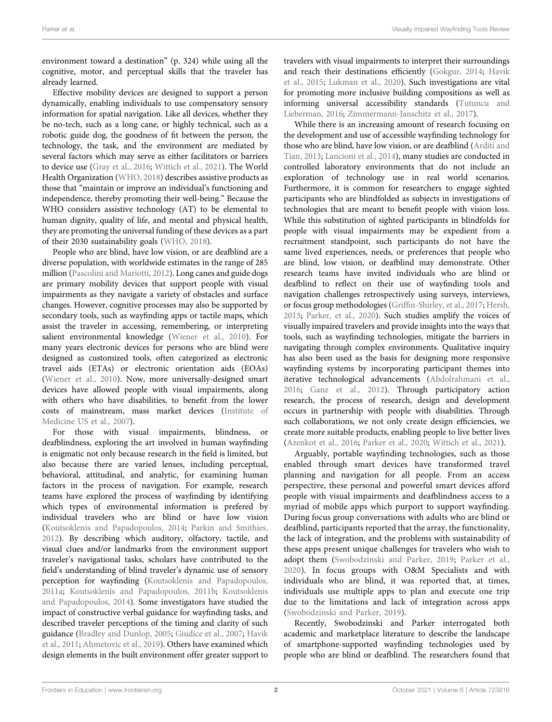environment toward a destination" (p. 324) while using all the cognitive, motor, and perceptual skills that the traveler has already learned.

Effective mobility devices are designed to support a person dynamically, enabling individuals to use compensatory sensory information for spatial navigation. Like all devices, whether they be no-tech, such as a long cane, or highly technical, such as a robotic guide dog, the goodness of fit between the person, the technology, the task, and the environment are mediated by several factors which may serve as either facilitators or barriers to device use ([Gray et al., 2016](#page-23-1); [Wittich et al., 2021](#page-24-1)). The World Health Organization ([WHO, 2018\)](#page-24-2) describes assistive products as those that "maintain or improve an individual's functioning and independence, thereby promoting their well-being." Because the WHO considers assistive technology (AT) to be elemental to human dignity, quality of life, and mental and physical health, they are promoting the universal funding of these devices as a part of their 2030 sustainability goals [\(WHO, 2018](#page-24-2)).

People who are blind, have low vision, or are deafblind are a diverse population, with worldwide estimates in the range of 285 million ([Pascolini and Mariotti, 2012\)](#page-23-2). Long canes and guide dogs are primary mobility devices that support people with visual impairments as they navigate a variety of obstacles and surface changes. However, cognitive processes may also be supported by secondary tools, such as wayfinding apps or tactile maps, which assist the traveler in accessing, remembering, or interpreting salient environmental knowledge [\(Wiener et al., 2010](#page-24-0)). For many years electronic devices for persons who are blind were designed as customized tools, often categorized as electronic travel aids (ETAs) or electronic orientation aids (EOAs) ([Wiener et al., 2010](#page-24-0)). Now, more universally-designed smart devices have allowed people with visual impairments, along with others who have disabilities, to benefit from the lower costs of mainstream, mass market devices ([Institute of](#page-23-3) [Medicine US et al., 2007](#page-23-3)).

For those with visual impairments, blindness, or deafblindness, exploring the art involved in human wayfinding is enigmatic not only because research in the field is limited, but also because there are varied lenses, including perceptual, behavioral, attitudinal, and analytic, for examining human factors in the process of navigation. For example, research teams have explored the process of wayfinding by identifying which types of environmental information is prefered by individual travelers who are blind or have low vision ([Koutsoklenis and Papadopoulos, 2014](#page-23-4); [Parkin and Smithies,](#page-23-5) [2012](#page-23-5)). By describing which auditory, olfactory, tactile, and visual clues and/or landmarks from the environment support traveler's navigational tasks, scholars have contributed to the field's understanding of blind traveler's dynamic use of sensory perception for wayfinding [\(Koutsoklenis and Papadopoulos,](#page-22-2) [2011a;](#page-22-2) [Koutsoklenis and Papadopoulos, 2011b;](#page-23-6) [Koutsoklenis](#page-23-4) [and Papadopoulos, 2014](#page-23-4)). Some investigators have studied the impact of constructive verbal guidance for wayfinding tasks, and described traveler perceptions of the timing and clarity of such guidance ([Bradley and Dunlop, 2005;](#page-22-3) [Giudice et al., 2007;](#page-22-4) [Havik](#page-22-5) [et al., 2011](#page-22-5); [Ahmetovic et al., 2019\)](#page-21-0). Others have examined which design elements in the built environment offer greater support to

travelers with visual impairments to interpret their surroundings and reach their destinations efficiently ([Gokgur, 2014](#page-22-6); [Havik](#page-22-7) [et al., 2015;](#page-22-7) [Lukman et al., 2020](#page-23-7)). Such investigations are vital for promoting more inclusive building compositions as well as informing universal accessibility standards [\(Tutuncu and](#page-23-8) [Lieberman, 2016;](#page-23-8) [Zimmermann-Janschitz et al., 2017\)](#page-24-3).

While there is an increasing amount of research focusing on the development and use of accessible wayfinding technology for those who are blind, have low vision, or are deafblind ([Arditi and](#page-21-1) [Tian, 2013](#page-21-1); [Lancioni et al., 2014\)](#page-23-9), many studies are conducted in controlled laboratory environments that do not include an exploration of technology use in real world scenarios. Furthermore, it is common for researchers to engage sighted participants who are blindfolded as subjects in investigations of technologies that are meant to benefit people with vision loss. While this substitution of sighted participants in blindfolds for people with visual impairments may be expedient from a recruitment standpoint, such participants do not have the same lived experiences, needs, or preferences that people who are blind, low vision, or deafblind may demonstrate. Other research teams have invited individuals who are blind or deafblind to reflect on their use of wayfinding tools and navigation challenges retrospectively using surveys, interviews, or focus group methodologies (Griffi[n-Shirley, et al., 2017;](#page-22-8) [Hersh,](#page-22-9) [2013](#page-22-9); [Parker, et al., 2020](#page-23-10)). Such studies amplify the voices of visually impaired travelers and provide insights into the ways that tools, such as wayfinding technologies, mitigate the barriers in navigating through complex environments. Qualitative inquiry has also been used as the basis for designing more responsive wayfinding systems by incorporating participant themes into iterative technological advancements ([Abdolrahmani et al.,](#page-21-2) [2016](#page-21-2); [Ganz et al., 2012\)](#page-22-10). Through participatory action research, the process of research, design and development occurs in partnership with people with disabilities. Through such collaborations, we not only create design efficiencies, we create more suitable products, enabling people to live better lives [\(Azenkot et al., 2016](#page-21-3); [Parker et al., 2020](#page-23-10); [Wittich et al., 2021](#page-24-1)).

Arguably, portable wayfinding technologies, such as those enabled through smart devices have transformed travel planning and navigation for all people. From an access perspective, these personal and powerful smart devices afford people with visual impairments and deafblindness access to a myriad of mobile apps which purport to support wayfinding. During focus group conversations with adults who are blind or deafblind, participants reported that the array, the functionality, the lack of integration, and the problems with sustainability of these apps present unique challenges for travelers who wish to adopt them [\(Swobodzinski and Parker, 2019;](#page-23-11) [Parker et al.,](#page-23-10) [2020\)](#page-23-10). In focus groups with O&M Specialists and with individuals who are blind, it was reported that, at times, individuals use multiple apps to plan and execute one trip due to the limitations and lack of integration across apps [\(Swobodzinski and Parker, 2019\)](#page-23-11).

Recently, Swobodzinski and Parker interrogated both academic and marketplace literature to describe the landscape of smartphone-supported wayfinding technologies used by people who are blind or deafblind. The researchers found that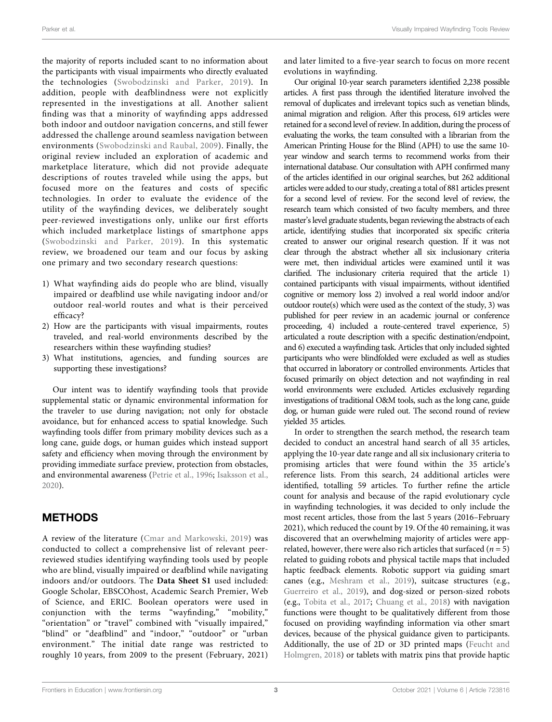the majority of reports included scant to no information about the participants with visual impairments who directly evaluated the technologies ([Swobodzinski and Parker, 2019](#page-23-11)). In addition, people with deafblindness were not explicitly represented in the investigations at all. Another salient finding was that a minority of wayfinding apps addressed both indoor and outdoor navigation concerns, and still fewer addressed the challenge around seamless navigation between environments ([Swobodzinski and Raubal, 2009](#page-23-12)). Finally, the original review included an exploration of academic and marketplace literature, which did not provide adequate descriptions of routes traveled while using the apps, but focused more on the features and costs of specific technologies. In order to evaluate the evidence of the utility of the wayfinding devices, we deliberately sought peer-reviewed investigations only, unlike our first efforts which included marketplace listings of smartphone apps ([Swobodzinski and Parker, 2019\)](#page-23-11). In this systematic review, we broadened our team and our focus by asking one primary and two secondary research questions:

- 1) What wayfinding aids do people who are blind, visually impaired or deafblind use while navigating indoor and/or outdoor real-world routes and what is their perceived efficacy?
- 2) How are the participants with visual impairments, routes traveled, and real-world environments described by the researchers within these wayfinding studies?
- 3) What institutions, agencies, and funding sources are supporting these investigations?

Our intent was to identify wayfinding tools that provide supplemental static or dynamic environmental information for the traveler to use during navigation; not only for obstacle avoidance, but for enhanced access to spatial knowledge. Such wayfinding tools differ from primary mobility devices such as a long cane, guide dogs, or human guides which instead support safety and efficiency when moving through the environment by providing immediate surface preview, protection from obstacles, and environmental awareness [\(Petrie et al., 1996;](#page-23-13) [Isaksson et al.,](#page-22-11) [2020](#page-22-11)).

# **METHODS**

A review of the literature ([Cmar and Markowski, 2019\)](#page-22-12) was conducted to collect a comprehensive list of relevant peerreviewed studies identifying wayfinding tools used by people who are blind, visually impaired or deafblind while navigating indoors and/or outdoors. The [Data Sheet S1](#page-21-4) used included: Google Scholar, EBSCOhost, Academic Search Premier, Web of Science, and ERIC. Boolean operators were used in conjunction with the terms "wayfinding," "mobility," "orientation" or "travel" combined with "visually impaired," "blind" or "deafblind" and "indoor," "outdoor" or "urban environment." The initial date range was restricted to roughly 10 years, from 2009 to the present (February, 2021)

and later limited to a five-year search to focus on more recent evolutions in wayfinding.

Our original 10-year search parameters identified 2,238 possible articles. A first pass through the identified literature involved the removal of duplicates and irrelevant topics such as venetian blinds, animal migration and religion. After this process, 619 articles were retained for a second level of review. In addition, during the process of evaluating the works, the team consulted with a librarian from the American Printing House for the Blind (APH) to use the same 10 year window and search terms to recommend works from their international database. Our consultation with APH confirmed many of the articles identified in our original searches, but 262 additional articles were added to our study, creating a total of 881 articles present for a second level of review. For the second level of review, the research team which consisted of two faculty members, and three master's level graduate students, began reviewing the abstracts of each article, identifying studies that incorporated six specific criteria created to answer our original research question. If it was not clear through the abstract whether all six inclusionary criteria were met, then individual articles were examined until it was clarified. The inclusionary criteria required that the article 1) contained participants with visual impairments, without identified cognitive or memory loss 2) involved a real world indoor and/or outdoor route(s) which were used as the context of the study, 3) was published for peer review in an academic journal or conference proceeding, 4) included a route-centered travel experience, 5) articulated a route description with a specific destination/endpoint, and 6) executed a wayfinding task. Articles that only included sighted participants who were blindfolded were excluded as well as studies that occurred in laboratory or controlled environments. Articles that focused primarily on object detection and not wayfinding in real world environments were excluded. Articles exclusively regarding investigations of traditional O&M tools, such as the long cane, guide dog, or human guide were ruled out. The second round of review yielded 35 articles.

In order to strengthen the search method, the research team decided to conduct an ancestral hand search of all 35 articles, applying the 10-year date range and all six inclusionary criteria to promising articles that were found within the 35 article's reference lists. From this search, 24 additional articles were identified, totalling 59 articles. To further refine the article count for analysis and because of the rapid evolutionary cycle in wayfinding technologies, it was decided to only include the most recent articles, those from the last 5 years (2016–February 2021), which reduced the count by 19. Of the 40 remaining, it was discovered that an overwhelming majority of articles were apprelated, however, there were also rich articles that surfaced ( $n = 5$ ) related to guiding robots and physical tactile maps that included haptic feedback elements. Robotic support via guiding smart canes (e.g., [Meshram et al., 2019\)](#page-23-14), suitcase structures (e.g., [Guerreiro et al., 2019](#page-22-13)), and dog-sized or person-sized robots (e.g., [Tobita et al., 2017;](#page-23-15) [Chuang et al., 2018](#page-22-14)) with navigation functions were thought to be qualitatively different from those focused on providing wayfinding information via other smart devices, because of the physical guidance given to participants. Additionally, the use of 2D or 3D printed maps ([Feucht and](#page-22-15) [Holmgren, 2018\)](#page-22-15) or tablets with matrix pins that provide haptic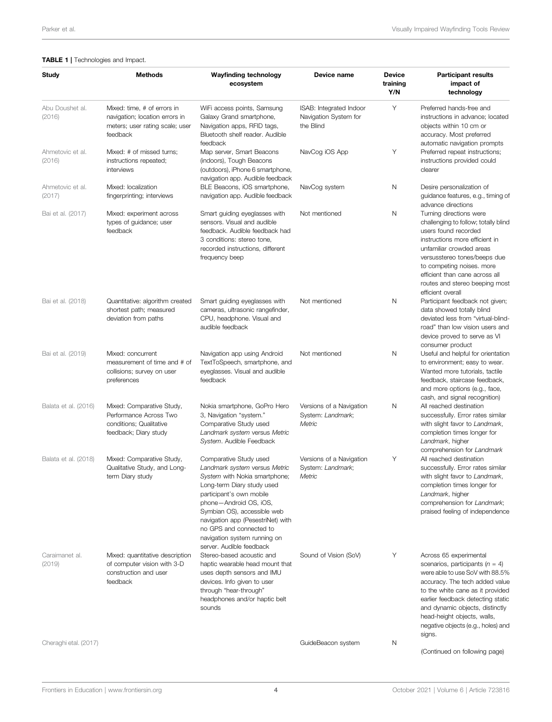#### <span id="page-5-0"></span>TABLE 1 | Technologies and Impact.

| Study                      | <b>Methods</b>                                                                                               | <b>Wayfinding technology</b><br>ecosystem                                                                                                                                                                                                                                                                                               | Device name                                                   | <b>Device</b><br>training<br>Y/N | <b>Participant results</b><br>impact of<br>technology                                                                                                                                                                                                                                                                         |
|----------------------------|--------------------------------------------------------------------------------------------------------------|-----------------------------------------------------------------------------------------------------------------------------------------------------------------------------------------------------------------------------------------------------------------------------------------------------------------------------------------|---------------------------------------------------------------|----------------------------------|-------------------------------------------------------------------------------------------------------------------------------------------------------------------------------------------------------------------------------------------------------------------------------------------------------------------------------|
| Abu Doushet al.<br>(2016)  | Mixed: time, # of errors in<br>navigation; location errors in<br>meters; user rating scale; user<br>feedback | WiFi access points, Samsung<br>Galaxy Grand smartphone,<br>Navigation apps, RFID tags,<br>Bluetooth shelf reader. Audible<br>feedback                                                                                                                                                                                                   | ISAB: Integrated Indoor<br>Navigation System for<br>the Blind | Υ                                | Preferred hands-free and<br>instructions in advance; located<br>objects within 10 cm or<br>accuracy. Most preferred<br>automatic navigation prompts                                                                                                                                                                           |
| Ahmetovic et al.<br>(2016) | Mixed: # of missed turns;<br>instructions repeated;<br>interviews                                            | Map server, Smart Beacons<br>(indoors), Tough Beacons<br>(outdoors), iPhone 6 smartphone,<br>navigation app. Audible feedback                                                                                                                                                                                                           | NavCog iOS App                                                | Υ                                | Preferred repeat instructions;<br>instructions provided could<br>clearer                                                                                                                                                                                                                                                      |
| Ahmetovic et al.<br>(2017) | Mixed: localization<br>fingerprinting; interviews                                                            | BLE Beacons, iOS smartphone,<br>navigation app. Audible feedback                                                                                                                                                                                                                                                                        | NavCog system                                                 | Ν                                | Desire personalization of<br>guidance features, e.g., timing of<br>advance directions                                                                                                                                                                                                                                         |
| Bai et al. (2017)          | Mixed: experiment across<br>types of guidance; user<br>feedback                                              | Smart guiding eyeglasses with<br>sensors. Visual and audible<br>feedback. Audible feedback had<br>3 conditions: stereo tone,<br>recorded instructions, different<br>frequency beep                                                                                                                                                      | Not mentioned                                                 | Ν                                | Turning directions were<br>challenging to follow; totally blind<br>users found recorded<br>instructions more efficient in<br>unfamiliar crowded areas<br>versusstereo tones/beeps due<br>to competing noises. more<br>efficient than cane across all<br>routes and stereo beeping most<br>efficient overall                   |
| Bai et al. (2018)          | Quantitative: algorithm created<br>shortest path; measured<br>deviation from paths                           | Smart guiding eyeglasses with<br>cameras, ultrasonic rangefinder,<br>CPU, headphone. Visual and<br>audible feedback                                                                                                                                                                                                                     | Not mentioned                                                 | N                                | Participant feedback not given;<br>data showed totally blind<br>deviated less from "virtual-blind-<br>road" than low vision users and<br>device proved to serve as VI<br>consumer product                                                                                                                                     |
| Bai et al. (2019)          | Mixed: concurrent<br>measurement of time and # of<br>collisions; survey on user<br>preferences               | Navigation app using Android<br>TextToSpeech, smartphone, and<br>eyeglasses. Visual and audible<br>feedback                                                                                                                                                                                                                             | Not mentioned                                                 | N                                | Useful and helpful for orientation<br>to environment; easy to wear.<br>Wanted more tutorials, tactile<br>feedback, staircase feedback,<br>and more options (e.g., face,<br>cash, and signal recognition)                                                                                                                      |
| Balata et al. (2016)       | Mixed: Comparative Study,<br>Performance Across Two<br>conditions; Qualitative<br>feedback; Diary study      | Nokia smartphone, GoPro Hero<br>3, Navigation "system."<br>Comparative Study used<br>Landmark system versus Metric<br>System. Audible Feedback                                                                                                                                                                                          | Versions of a Navigation<br>System: Landmark;<br>Metric       | N                                | All reached destination<br>successfully. Error rates similar<br>with slight favor to Landmark,<br>completion times longer for<br>Landmark, higher<br>comprehension for Landmark                                                                                                                                               |
| Balata et al. (2018)       | Mixed: Comparative Study,<br>Qualitative Study, and Long-<br>term Diary study                                | Comparative Study used<br>Landmark system versus Metric<br>System with Nokia smartphone;<br>Long-term Diary study used<br>participant's own mobile<br>phone-Android OS, iOS,<br>Symbian OS), accessible web<br>navigation app (PesestriNet) with<br>no GPS and connected to<br>navigation system running on<br>server. Audible feedback | Versions of a Navigation<br>System: Landmark;<br>Metric       | Υ                                | All reached destination<br>successfully. Error rates similar<br>with slight favor to Landmark,<br>completion times longer for<br>Landmark, higher<br>comprehension for Landmark;<br>praised feeling of independence                                                                                                           |
| Caraimanet al.<br>(2019)   | Mixed: quantitative description<br>of computer vision with 3-D<br>construction and user<br>feedback          | Stereo-based acoustic and<br>haptic wearable head mount that<br>uses depth sensors and IMU<br>devices. Info given to user<br>through "hear-through"<br>headphones and/or haptic belt<br>sounds                                                                                                                                          | Sound of Vision (SoV)                                         | Υ                                | Across 65 experimental<br>scenarios, participants ( $n = 4$ )<br>were able to use SoV with 88.5%<br>accuracy. The tech added value<br>to the white cane as it provided<br>earlier feedback detecting static<br>and dynamic objects, distinctly<br>head-height objects, walls,<br>negative objects (e.g., holes) and<br>signs. |
| Cheraghi etal. (2017)      |                                                                                                              |                                                                                                                                                                                                                                                                                                                                         | GuideBeacon system                                            | Ν                                | (Continued on following page)                                                                                                                                                                                                                                                                                                 |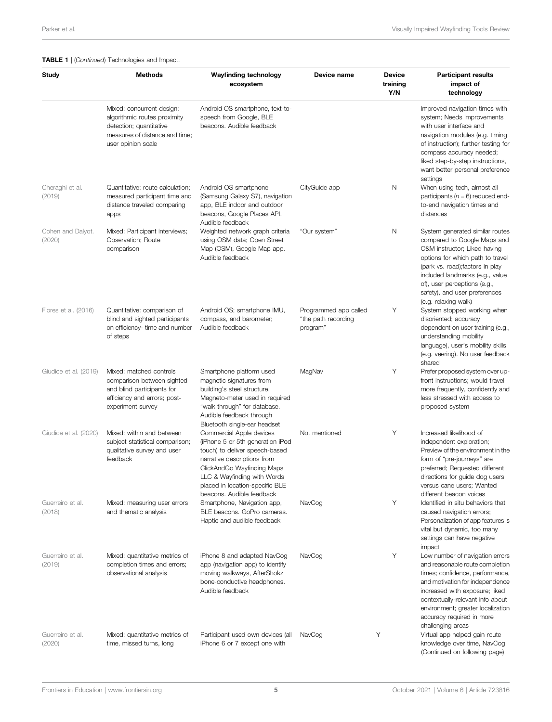#### TABLE 1 | (Continued) Technologies and Impact.

| Study                       | <b>Methods</b>                                                                                                                               | <b>Wayfinding technology</b><br>ecosystem                                                                                                                                                                                                                  | Device name                                              | <b>Device</b><br>training<br>Y/N | <b>Participant results</b><br>impact of<br>technology                                                                                                                                                                                                                                                 |
|-----------------------------|----------------------------------------------------------------------------------------------------------------------------------------------|------------------------------------------------------------------------------------------------------------------------------------------------------------------------------------------------------------------------------------------------------------|----------------------------------------------------------|----------------------------------|-------------------------------------------------------------------------------------------------------------------------------------------------------------------------------------------------------------------------------------------------------------------------------------------------------|
|                             | Mixed: concurrent design;<br>algorithmic routes proximity<br>detection; quantitative<br>measures of distance and time:<br>user opinion scale | Android OS smartphone, text-to-<br>speech from Google, BLE<br>beacons. Audible feedback                                                                                                                                                                    |                                                          |                                  | Improved navigation times with<br>system; Needs improvements<br>with user interface and<br>navigation modules (e.g. timing<br>of instruction); further testing for<br>compass accuracy needed;<br>liked step-by-step instructions,<br>want better personal preference<br>settings                     |
| Cheraghi et al.<br>(2019)   | Quantitative: route calculation;<br>measured participant time and<br>distance traveled comparing<br>apps                                     | Android OS smartphone<br>(Samsung Galaxy S7), navigation<br>app, BLE indoor and outdoor<br>beacons, Google Places API.<br>Audible feedback                                                                                                                 | CityGuide app                                            | Ν                                | When using tech, almost all<br>participants ( $n = 6$ ) reduced end-<br>to-end navigation times and<br>distances                                                                                                                                                                                      |
| Cohen and Dalyot.<br>(2020) | Mixed: Participant interviews;<br>Observation; Route<br>comparison                                                                           | Weighted network graph criteria<br>using OSM data; Open Street<br>Map (OSM), Google Map app.<br>Audible feedback                                                                                                                                           | "Our system"                                             | Ν                                | System generated similar routes<br>compared to Google Maps and<br>O&M instructor; Liked having<br>options for which path to travel<br>(park vs. road); factors in play<br>included landmarks (e.g., value<br>of), user perceptions (e.g.,<br>safety), and user preferences<br>(e.g. relaxing walk)    |
| Flores et al. (2016)        | Quantitative: comparison of<br>blind and sighted participants<br>on efficiency- time and number<br>of steps                                  | Android OS; smartphone IMU,<br>compass, and barometer;<br>Audible feedback                                                                                                                                                                                 | Programmed app called<br>"the path recording<br>program" | Υ                                | System stopped working when<br>disoriented; accuracy<br>dependent on user training (e.g.,<br>understanding mobility<br>language), user's mobility skills<br>(e.g. veering). No user feedback<br>shared                                                                                                |
| Giudice et al. (2019)       | Mixed: matched controls<br>comparison between sighted<br>and blind participants for<br>efficiency and errors; post-<br>experiment survey     | Smartphone platform used<br>magnetic signatures from<br>building's steel structure.<br>Magneto-meter used in required<br>"walk through" for database.<br>Audible feedback through<br>Bluetooth single-ear headset                                          | MagNav                                                   | Υ                                | Prefer proposed system over up-<br>front instructions; would travel<br>more frequently, confidently and<br>less stressed with access to<br>proposed system                                                                                                                                            |
| Giudice et al. (2020)       | Mixed: within and between<br>subject statistical comparison;<br>qualitative survey and user<br>feedback                                      | Commercial Apple devices<br>(iPhone 5 or 5th generation iPod<br>touch) to deliver speech-based<br>narrative descriptions from<br>ClickAndGo Wayfinding Maps<br>LLC & Wayfinding with Words<br>placed in location-specific BLE<br>beacons. Audible feedback | Not mentioned                                            | Υ                                | Increased likelihood of<br>independent exploration;<br>Preview of the environment in the<br>form of "pre-journeys" are<br>preferred; Requested different<br>directions for guide dog users<br>versus cane users; Wanted<br>different beacon voices                                                    |
| Guerreiro et al.<br>(2018)  | Mixed: measuring user errors<br>and thematic analysis                                                                                        | Smartphone, Navigation app,<br>BLE beacons. GoPro cameras.<br>Haptic and audible feedback                                                                                                                                                                  | NavCog                                                   | Υ                                | Identified in situ behaviors that<br>caused navigation errors;<br>Personalization of app features is<br>vital but dynamic, too many<br>settings can have negative<br>impact                                                                                                                           |
| Guerreiro et al.<br>(2019)  | Mixed: quantitative metrics of<br>completion times and errors;<br>observational analysis                                                     | iPhone 8 and adapted NavCog<br>app (navigation app) to identify<br>moving walkways, AfterShokz<br>bone-conductive headphones.<br>Audible feedback                                                                                                          | NavCog                                                   | Υ                                | Low number of navigation errors<br>and reasonable route completion<br>times; confidence, performance,<br>and motivation for independence<br>increased with exposure; liked<br>contextually-relevant info about<br>environment; greater localization<br>accuracy required in more<br>challenging areas |
| Guerreiro et al.<br>(2020)  | Mixed: quantitative metrics of<br>time, missed turns, long                                                                                   | Participant used own devices (all<br>iPhone 6 or 7 except one with                                                                                                                                                                                         | NavCog                                                   | Υ                                | Virtual app helped gain route<br>knowledge over time, NavCog<br>(Continued on following page)                                                                                                                                                                                                         |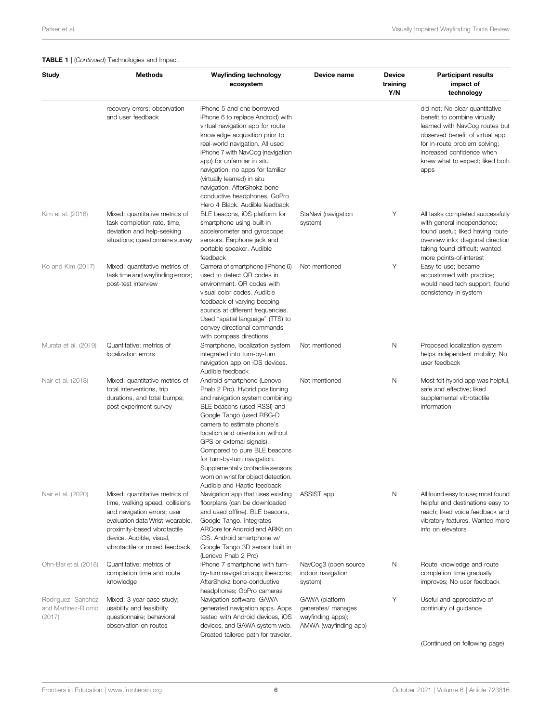#### TABLE 1 | (Continued) Technologies and Impact.

| Study                                              | <b>Methods</b>                                                                                                                                                                                                                    | <b>Wayfinding technology</b><br>ecosystem                                                                                                                                                                                                                                                                                                                                                                                             | Device name                                                                        | <b>Device</b><br>training<br>Y/N | <b>Participant results</b><br>impact of<br>technology                                                                                                                                                                                        |
|----------------------------------------------------|-----------------------------------------------------------------------------------------------------------------------------------------------------------------------------------------------------------------------------------|---------------------------------------------------------------------------------------------------------------------------------------------------------------------------------------------------------------------------------------------------------------------------------------------------------------------------------------------------------------------------------------------------------------------------------------|------------------------------------------------------------------------------------|----------------------------------|----------------------------------------------------------------------------------------------------------------------------------------------------------------------------------------------------------------------------------------------|
|                                                    | recovery errors; observation<br>and user feedback                                                                                                                                                                                 | iPhone 5 and one borrowed<br>iPhone 6 to replace Android) with<br>virtual navigation app for route<br>knowledge acquisition prior to<br>real-world navigation. All used<br>iPhone 7 with NavCog (navigation<br>app) for unfamiliar in situ<br>navigation, no apps for familiar<br>(virtually learned) in situ<br>navigation. AfterShokz bone-<br>conductive headphones. GoPro<br>Hero 4 Black. Audible feedback                       |                                                                                    |                                  | did not; No clear quantitative<br>benefit to combine virtually<br>learned with NavCog routes but<br>observed benefit of virtual app<br>for in-route problem solving;<br>increased confidence when<br>knew what to expect; liked both<br>apps |
| Kim et al. (2016)                                  | Mixed: quantitative metrics of<br>task completion rate, time,<br>deviation and help-seeking<br>situations; questionnaire survey                                                                                                   | BLE beacons, iOS platform for<br>smartphone using built-in<br>accelerometer and gyroscope<br>sensors. Earphone jack and<br>portable speaker. Audible<br>feedback                                                                                                                                                                                                                                                                      | StaNavi (navigation<br>system)                                                     | Υ                                | All tasks completed successfully<br>with general independence;<br>found useful; liked having route<br>overview info; diagonal direction<br>taking found difficult; wanted<br>more points-of-interest                                         |
| Ko and Kim (2017)                                  | Mixed: quantitative metrics of<br>task time and wayfinding errors;<br>post-test interview                                                                                                                                         | Camera of smartphone (iPhone 6)<br>used to detect QR codes in<br>environment. QR codes with<br>visual color codes. Audible<br>feedback of varying beeping<br>sounds at different frequencies.<br>Used "spatial language" (TTS) to<br>convey directional commands<br>with compass directions                                                                                                                                           | Not mentioned                                                                      | Y                                | Easy to use; became<br>accustomed with practice;<br>would need tech support; found<br>consistency in system                                                                                                                                  |
| Murata et al. (2019)                               | Quantitative: metrics of<br>localization errors                                                                                                                                                                                   | Smartphone, localization system<br>integrated into turn-by-turn<br>navigation app on iOS devices.<br>Audible feedback                                                                                                                                                                                                                                                                                                                 | Not mentioned                                                                      | N                                | Proposed localization system<br>helps independent mobility; No<br>user feedback                                                                                                                                                              |
| Nair et al. (2018)                                 | Mixed: quantitative metrics of<br>total interventions, trip<br>durations, and total bumps;<br>post-experiment survey                                                                                                              | Android smartphone (Lenovo<br>Phab 2 Pro). Hybrid positioning<br>and navigation system combining<br>BLE beacons (used RSSI) and<br>Google Tango (used RBG-D<br>camera to estimate phone's<br>location and orientation without<br>GPS or external signals).<br>Compared to pure BLE beacons<br>for turn-by-turn navigation.<br>Supplemental vibrotactile sensors<br>worn on wrist for object detection.<br>Audible and Haptic feedback | Not mentioned                                                                      | N                                | Most felt hybrid app was helpful,<br>safe and effective; liked<br>supplemental vibrotactile<br>information                                                                                                                                   |
| Nair et al. (2020)                                 | Mixed: quantitative metrics of<br>time, walking speed, collisions<br>and navigation errors; user<br>evaluation data Wrist-wearable,<br>proximity-based vibrotactile<br>device. Audible, visual,<br>vibrotactile or mixed feedback | Navigation app that uses existing<br>floorplans (can be downloaded<br>and used offline). BLE beacons,<br>Google Tango. Integrates<br>ARCore for Android and ARKit on<br>iOS. Android smartphone w/<br>Google Tango 3D sensor built in<br>(Lenovo Phab 2 Pro)                                                                                                                                                                          | ASSIST app                                                                         | N                                | All found easy to use; most found<br>helpful and destinations easy to<br>reach; liked voice feedback and<br>vibratory features. Wanted more<br>info on elevators                                                                             |
| Ohn-Bar et al. (2018)                              | Quantitative: metrics of<br>completion time and route<br>knowledge                                                                                                                                                                | iPhone 7 smartphone with turn-<br>by-turn navigation app; ibeacons;<br>AfterShokz bone-conductive<br>headphones; GoPro cameras                                                                                                                                                                                                                                                                                                        | NavCog3 (open source<br>indoor navigation<br>system)                               | Ν                                | Route knowledge and route<br>completion time gradually<br>improves; No user feedback                                                                                                                                                         |
| Rodriguez- Sanchez<br>and Martinez-R omo<br>(2017) | Mixed: 3 year case study;<br>usability and feasibility<br>questionnaire; behavioral<br>observation on routes                                                                                                                      | Navigation software. GAWA<br>generated navigation apps. Apps<br>tested with Android devices, iOS<br>devices, and GAWA system web.<br>Created tailored path for traveler.                                                                                                                                                                                                                                                              | GAWA (platform<br>generates/ manages<br>wayfinding apps);<br>AMWA (wayfinding app) | Υ                                | Useful and appreciative of<br>continuity of guidance                                                                                                                                                                                         |

(Continued on following page)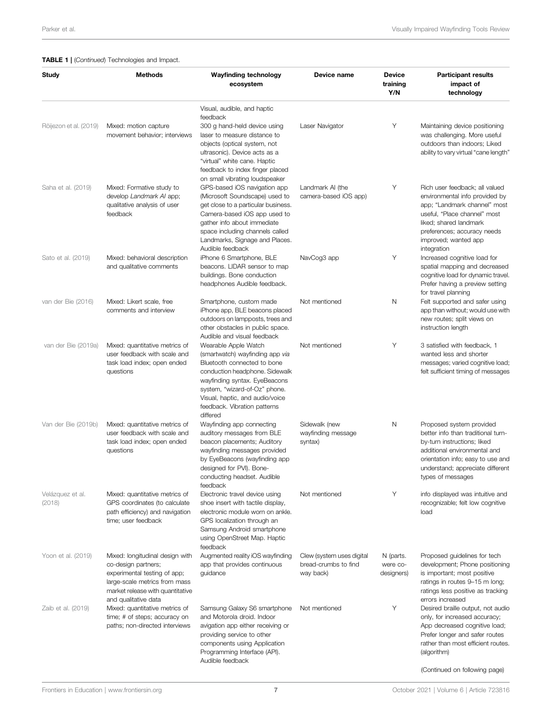#### TABLE 1 | (Continued) Technologies and Impact.

| Study                      | <b>Methods</b>                                                                                                                                              | <b>Wayfinding technology</b><br>ecosystem                                                                                                                                                                                                                                                       | Device name                                                    | <b>Device</b><br>training<br>Y/N    | <b>Participant results</b><br>impact of<br>technology                                                                                                                                                                            |
|----------------------------|-------------------------------------------------------------------------------------------------------------------------------------------------------------|-------------------------------------------------------------------------------------------------------------------------------------------------------------------------------------------------------------------------------------------------------------------------------------------------|----------------------------------------------------------------|-------------------------------------|----------------------------------------------------------------------------------------------------------------------------------------------------------------------------------------------------------------------------------|
|                            |                                                                                                                                                             | Visual, audible, and haptic                                                                                                                                                                                                                                                                     |                                                                |                                     |                                                                                                                                                                                                                                  |
| Röijezon et al. (2019)     | Mixed: motion capture<br>movement behavior; interviews                                                                                                      | feedback<br>300 g hand-held device using<br>laser to measure distance to<br>objects (optical system, not<br>ultrasonic). Device acts as a<br>"virtual" white cane. Haptic<br>feedback to index finger placed                                                                                    | Laser Navigator                                                | Υ                                   | Maintaining device positioning<br>was challenging. More useful<br>outdoors than indoors; Liked<br>ability to vary virtual "cane length"                                                                                          |
| Saha et al. (2019)         | Mixed: Formative study to<br>develop Landmark AI app;<br>qualitative analysis of user<br>feedback                                                           | on small vibrating loudspeaker<br>GPS-based iOS navigation app<br>(Microsoft Soundscape) used to<br>get close to a particular business.<br>Camera-based iOS app used to<br>gather info about immediate<br>space including channels called<br>Landmarks, Signage and Places.<br>Audible feedback | Landmark AI (the<br>camera-based iOS app)                      | Υ                                   | Rich user feedback; all valued<br>environmental info provided by<br>app; "Landmark channel" most<br>useful, "Place channel" most<br>liked; shared landmark<br>preferences; accuracy needs<br>improved; wanted app<br>integration |
| Sato et al. (2019)         | Mixed: behavioral description<br>and qualitative comments                                                                                                   | iPhone 6 Smartphone, BLE<br>beacons. LIDAR sensor to map<br>buildings. Bone conduction<br>headphones Audible feedback.                                                                                                                                                                          | NavCog3 app                                                    | Υ                                   | Increased cognitive load for<br>spatial mapping and decreased<br>cognitive load for dynamic travel.<br>Prefer having a preview setting<br>for travel planning                                                                    |
| van der Bie (2016)         | Mixed: Likert scale, free<br>comments and interview                                                                                                         | Smartphone, custom made<br>iPhone app, BLE beacons placed<br>outdoors on lampposts, trees and<br>other obstacles in public space.<br>Audible and visual feedback                                                                                                                                | Not mentioned                                                  | N                                   | Felt supported and safer using<br>app than without; would use with<br>new routes; split views on<br>instruction length                                                                                                           |
| van der Bie (2019a)        | Mixed: quantitative metrics of<br>user feedback with scale and<br>task load index; open ended<br>questions                                                  | Wearable Apple Watch<br>(smartwatch) wayfinding app via<br>Bluetooth connected to bone<br>conduction headphone. Sidewalk<br>wayfinding syntax. EyeBeacons<br>system, "wizard-of-Oz" phone.<br>Visual, haptic, and audio/voice<br>feedback. Vibration patterns<br>differed                       | Not mentioned                                                  | Υ                                   | 3 satisfied with feedback, 1<br>wanted less and shorter<br>messages; varied cognitive load;<br>felt sufficient timing of messages                                                                                                |
| Van der Bie (2019b)        | Mixed: quantitative metrics of<br>user feedback with scale and<br>task load index; open ended<br>questions                                                  | Wayfinding app connecting<br>auditory messages from BLE<br>beacon placements; Auditory<br>wayfinding messages provided<br>by EyeBeacons (wayfinding app<br>designed for PVI). Bone-<br>conducting headset. Audible<br>feedback                                                                  | Sidewalk (new<br>wayfinding message<br>syntax)                 | N                                   | Proposed system provided<br>better info than traditional turn-<br>by-turn instructions; liked<br>additional environmental and<br>orientation info; easy to use and<br>understand; appreciate different<br>types of messages      |
| Velázquez et al.<br>(2018) | Mixed: quantitative metrics of<br>GPS coordinates (to calculate<br>path efficiency) and navigation<br>time; user feedback                                   | Electronic travel device using<br>shoe insert with tactile display,<br>electronic module worn on ankle.<br>GPS localization through an<br>Samsung Android smartphone<br>using OpenStreet Map. Haptic<br>feedback                                                                                | Not mentioned                                                  | Y                                   | info displayed was intuitive and<br>recognizable; felt low cognitive<br>load                                                                                                                                                     |
| Yoon et al. (2019)         | Mixed: longitudinal design with<br>co-design partners;<br>experimental testing of app;<br>large-scale metrics from mass<br>market release with quantitative | Augmented reality iOS wayfinding<br>app that provides continuous<br>quidance                                                                                                                                                                                                                    | Clew (system uses digital<br>bread-crumbs to find<br>way back) | N (parts.<br>were co-<br>designers) | Proposed guidelines for tech<br>development; Phone positioning<br>is important; most positive<br>ratings in routes 9–15 m long;<br>ratings less positive as tracking<br>errors increased                                         |
| Zaib et al. (2019)         | and qualitative data<br>Mixed: quantitative metrics of<br>time; # of steps; accuracy on<br>paths; non-directed interviews                                   | Samsung Galaxy S6 smartphone<br>and Motorola droid. Indoor<br>avigation app either receiving or<br>providing service to other<br>components using Application<br>Programming Interface (API).<br>Audible feedback                                                                               | Not mentioned                                                  | Υ                                   | Desired braille output, not audio<br>only, for increased accuracy;<br>App decreased cognitive load;<br>Prefer longer and safer routes<br>rather than most efficient routes.<br>(algorithm)                                       |
|                            |                                                                                                                                                             |                                                                                                                                                                                                                                                                                                 |                                                                |                                     | (Continued on following page)                                                                                                                                                                                                    |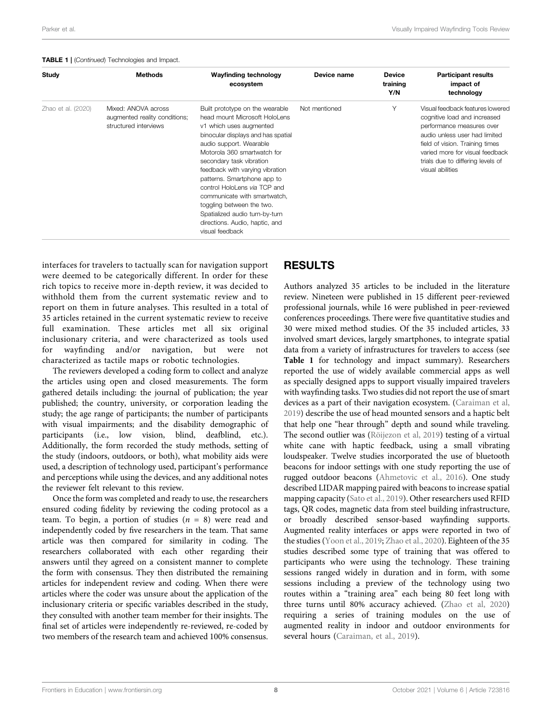|  |  | <b>TABLE 1</b>   (Continued) Technologies and Impact. |  |  |
|--|--|-------------------------------------------------------|--|--|
|--|--|-------------------------------------------------------|--|--|

| Study              | <b>Methods</b>                                                                | Wayfinding technology<br>ecosystem                                                                                                                                                                                                                                                                                                                                                                                                                                            | Device name   | <b>Device</b><br>training<br>Y/N | <b>Participant results</b><br>impact of<br>technology                                                                                                                                                                                                         |
|--------------------|-------------------------------------------------------------------------------|-------------------------------------------------------------------------------------------------------------------------------------------------------------------------------------------------------------------------------------------------------------------------------------------------------------------------------------------------------------------------------------------------------------------------------------------------------------------------------|---------------|----------------------------------|---------------------------------------------------------------------------------------------------------------------------------------------------------------------------------------------------------------------------------------------------------------|
| Zhao et al. (2020) | Mixed: ANOVA across<br>augmented reality conditions;<br>structured interviews | Built prototype on the wearable<br>head mount Microsoft HoloLens<br>v1 which uses augmented<br>binocular displays and has spatial<br>audio support. Wearable<br>Motorola 360 smartwatch for<br>secondary task vibration<br>feedback with varying vibration<br>patterns. Smartphone app to<br>control HoloLens via TCP and<br>communicate with smartwatch,<br>toggling between the two.<br>Spatialized audio turn-by-turn<br>directions. Audio, haptic, and<br>visual feedback | Not mentioned | Υ                                | Visual feedback features lowered<br>cognitive load and increased<br>performance measures over<br>audio unless user had limited<br>field of vision. Training times<br>varied more for visual feedback<br>trials due to differing levels of<br>visual abilities |

interfaces for travelers to tactually scan for navigation support were deemed to be categorically different. In order for these rich topics to receive more in-depth review, it was decided to withhold them from the current systematic review and to report on them in future analyses. This resulted in a total of 35 articles retained in the current systematic review to receive full examination. These articles met all six original inclusionary criteria, and were characterized as tools used for wayfinding and/or navigation, but were not characterized as tactile maps or robotic technologies.

The reviewers developed a coding form to collect and analyze the articles using open and closed measurements. The form gathered details including: the journal of publication; the year published; the country, university, or corporation leading the study; the age range of participants; the number of participants with visual impairments; and the disability demographic of participants (i.e., low vision, blind, deafblind, etc.). Additionally, the form recorded the study methods, setting of the study (indoors, outdoors, or both), what mobility aids were used, a description of technology used, participant's performance and perceptions while using the devices, and any additional notes the reviewer felt relevant to this review.

Once the form was completed and ready to use, the researchers ensured coding fidelity by reviewing the coding protocol as a team. To begin, a portion of studies  $(n = 8)$  were read and independently coded by five researchers in the team. That same article was then compared for similarity in coding. The researchers collaborated with each other regarding their answers until they agreed on a consistent manner to complete the form with consensus. They then distributed the remaining articles for independent review and coding. When there were articles where the coder was unsure about the application of the inclusionary criteria or specific variables described in the study, they consulted with another team member for their insights. The final set of articles were independently re-reviewed, re-coded by two members of the research team and achieved 100% consensus.

# RESULTS

Authors analyzed 35 articles to be included in the literature review. Nineteen were published in 15 different peer-reviewed professional journals, while 16 were published in peer-reviewed conferences proceedings. There were five quantitative studies and 30 were mixed method studies. Of the 35 included articles, 33 involved smart devices, largely smartphones, to integrate spatial data from a variety of infrastructures for travelers to access (see [Table 1](#page-5-0) for technology and impact summary). Researchers reported the use of widely available commercial apps as well as specially designed apps to support visually impaired travelers with wayfinding tasks. Two studies did not report the use of smart devices as a part of their navigation ecosystem. ([Caraiman et al,](#page-22-21) [2019](#page-22-21)) describe the use of head mounted sensors and a haptic belt that help one "hear through" depth and sound while traveling. The second outlier was ([Röijezon et al, 2019\)](#page-23-21) testing of a virtual white cane with haptic feedback, using a small vibrating loudspeaker. Twelve studies incorporated the use of bluetooth beacons for indoor settings with one study reporting the use of rugged outdoor beacons ([Ahmetovic et al., 2016](#page-21-6)). One study described LIDAR mapping paired with beacons to increase spatial mapping capacity [\(Sato et al., 2019\)](#page-23-23). Other researchers used RFID tags, QR codes, magnetic data from steel building infrastructure, or broadly described sensor-based wayfinding supports. Augmented reality interfaces or apps were reported in two of the studies ([Yoon et al., 2019](#page-24-8); [Zhao et al., 2020](#page-24-10)). Eighteen of the 35 studies described some type of training that was offered to participants who were using the technology. These training sessions ranged widely in duration and in form, with some sessions including a preview of the technology using two routes within a "training area" each being 80 feet long with three turns until 80% accuracy achieved. [\(Zhao et al, 2020\)](#page-24-10) requiring a series of training modules on the use of augmented reality in indoor and outdoor environments for several hours ([Caraiman, et al., 2019](#page-22-21)).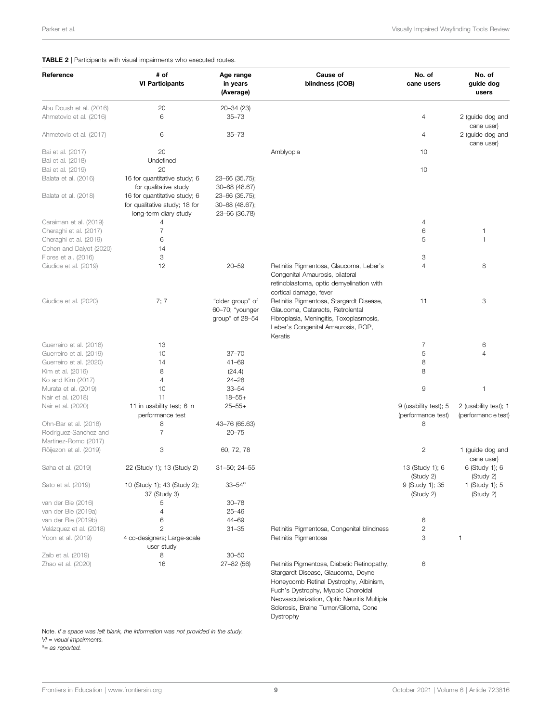#### <span id="page-10-0"></span>**TABLE 2** | Participants with visual impairments who executed routes.

| Reference                                     | # of<br><b>VI Participants</b>                                                         | Age range<br>in years<br>(Average)                     | Cause of<br>blindness (COB)                                                                                                                                                                                                                                           | No. of<br>cane users                        | No. of<br>guide dog<br>users                |
|-----------------------------------------------|----------------------------------------------------------------------------------------|--------------------------------------------------------|-----------------------------------------------------------------------------------------------------------------------------------------------------------------------------------------------------------------------------------------------------------------------|---------------------------------------------|---------------------------------------------|
| Abu Doush et al. (2016)                       | 20                                                                                     | 20-34 (23)                                             |                                                                                                                                                                                                                                                                       |                                             |                                             |
| Ahmetovic et al. (2016)                       | 6                                                                                      | $35 - 73$                                              |                                                                                                                                                                                                                                                                       | 4                                           | 2 (guide dog and<br>cane user)              |
| Ahmetovic et al. (2017)                       | 6                                                                                      | $35 - 73$                                              |                                                                                                                                                                                                                                                                       | 4                                           | 2 (guide dog and<br>cane user)              |
| Bai et al. (2017)                             | 20                                                                                     |                                                        | Amblyopia                                                                                                                                                                                                                                                             | 10                                          |                                             |
| Bai et al. (2018)<br>Bai et al. (2019)        | Undefined<br>20                                                                        |                                                        |                                                                                                                                                                                                                                                                       | 10                                          |                                             |
| Balata et al. (2016)                          | 16 for quantitative study; 6                                                           | 23-66 (35.75);                                         |                                                                                                                                                                                                                                                                       |                                             |                                             |
|                                               | for qualitative study                                                                  | 30-68 (48.67)                                          |                                                                                                                                                                                                                                                                       |                                             |                                             |
| Balata et al. (2018)                          | 16 for quantitative study; 6<br>for qualitative study; 18 for<br>long-term diary study | 23-66 (35.75);<br>30-68 (48.67);<br>23-66 (36.78)      |                                                                                                                                                                                                                                                                       |                                             |                                             |
| Caraiman et al. (2019)                        | 4                                                                                      |                                                        |                                                                                                                                                                                                                                                                       | 4                                           |                                             |
| Cheraghi et al. (2017)                        | $\overline{7}$                                                                         |                                                        |                                                                                                                                                                                                                                                                       | 6                                           | 1                                           |
| Cheraghi et al. (2019)                        | 6                                                                                      |                                                        |                                                                                                                                                                                                                                                                       | 5                                           | 1                                           |
| Cohen and Dalyot (2020)                       | 14                                                                                     |                                                        |                                                                                                                                                                                                                                                                       |                                             |                                             |
| Flores et al. (2016)                          | 3                                                                                      |                                                        |                                                                                                                                                                                                                                                                       | 3                                           |                                             |
| Giudice et al. (2019)                         | 12                                                                                     | $20 - 59$                                              | Retinitis Pigmentosa, Glaucoma, Leber's<br>Congenital Amaurosis, bilateral<br>retinoblastoma, optic demyelination with<br>cortical damage, fever                                                                                                                      | 4                                           | 8                                           |
| Giudice et al. (2020)                         | 7; 7                                                                                   | "older group" of<br>60-70; "younger<br>group" of 28-54 | Retinitis Pigmentosa, Stargardt Disease,<br>Glaucoma, Cataracts, Retrolental<br>Fibroplasia, Meningitis, Toxoplasmosis,<br>Leber's Congenital Amaurosis, ROP,<br>Keratis                                                                                              | 11                                          | 3                                           |
| Guerreiro et al. (2018)                       | 13                                                                                     |                                                        |                                                                                                                                                                                                                                                                       | 7                                           | 6                                           |
| Guerreiro et al. (2019)                       | 10                                                                                     | $37 - 70$                                              |                                                                                                                                                                                                                                                                       | 5                                           | 4                                           |
| Guerreiro et al. (2020)                       | 14                                                                                     | $41 - 69$                                              |                                                                                                                                                                                                                                                                       | 8                                           |                                             |
| Kim et al. (2016)                             | 8                                                                                      | (24.4)                                                 |                                                                                                                                                                                                                                                                       | 8                                           |                                             |
| Ko and Kim (2017)                             | 4                                                                                      | $24 - 28$                                              |                                                                                                                                                                                                                                                                       |                                             |                                             |
| Murata et al. (2019)                          | 10                                                                                     | $33 - 54$                                              |                                                                                                                                                                                                                                                                       | 9                                           | 1                                           |
| Nair et al. (2018)                            | 11                                                                                     | $18 - 55 +$                                            |                                                                                                                                                                                                                                                                       |                                             |                                             |
| Nair et al. (2020)                            | 11 in usability test; 6 in<br>performance test                                         | $25 - 55 +$                                            |                                                                                                                                                                                                                                                                       | 9 (usability test); 5<br>(performance test) | 2 (usability test); 1<br>(performance test) |
| Ohn-Bar et al. (2018)                         | 8                                                                                      | 43-76 (65.63)                                          |                                                                                                                                                                                                                                                                       | 8                                           |                                             |
| Rodriguez-Sanchez and<br>Martinez-Romo (2017) | $\overline{7}$                                                                         | $20 - 75$                                              |                                                                                                                                                                                                                                                                       |                                             |                                             |
| Röijezon et al. (2019)                        | 3                                                                                      | 60, 72, 78                                             |                                                                                                                                                                                                                                                                       | $\mathbf{2}$                                | 1 (guide dog and<br>cane user)              |
| Saha et al. (2019)                            | 22 (Study 1); 13 (Study 2)                                                             | $31 - 50$ ; 24 $-55$                                   |                                                                                                                                                                                                                                                                       | 13 (Study 1); 6<br>(Study 2)                | 6 (Study 1); 6<br>(Study 2)                 |
| Sato et al. (2019)                            | 10 (Study 1); 43 (Study 2);<br>37 (Study 3)                                            | 33–54ª                                                 |                                                                                                                                                                                                                                                                       | 9 (Study 1); 35<br>(Study 2)                | 1 (Study 1); 5<br>(Study 2)                 |
| van der Bie (2016)                            | 5                                                                                      | $30 - 78$                                              |                                                                                                                                                                                                                                                                       |                                             |                                             |
| van der Bie (2019a)                           | 4                                                                                      | $25 - 46$                                              |                                                                                                                                                                                                                                                                       |                                             |                                             |
| van der Bie (2019b)                           | 6                                                                                      | 44-69                                                  |                                                                                                                                                                                                                                                                       | 6                                           |                                             |
| Velázquez et al. (2018)                       | $\overline{c}$                                                                         | $31 - 35$                                              | Retinitis Pigmentosa, Congenital blindness                                                                                                                                                                                                                            | $\overline{c}$                              |                                             |
| Yoon et al. (2019)                            | 4 co-designers; Large-scale<br>user study                                              |                                                        | Retinitis Pigmentosa                                                                                                                                                                                                                                                  | 3                                           | 1                                           |
| Zaib et al. (2019)                            | 8                                                                                      | $30 - 50$                                              |                                                                                                                                                                                                                                                                       |                                             |                                             |
| Zhao et al. (2020)                            | 16                                                                                     | $27 - 82(56)$                                          | Retinitis Pigmentosa, Diabetic Retinopathy,<br>Stargardt Disease, Glaucoma, Doyne<br>Honeycomb Retinal Dystrophy, Albinism,<br>Fuch's Dystrophy, Myopic Choroidal<br>Neovascularization, Optic Neuritis Multiple<br>Sclerosis, Braine Tumor/Glioma, Cone<br>Dystrophy | 6                                           |                                             |

Note. If a space was left blank, the information was not provided in the study.

 $VI = visual$  impairments.

 $a$ <sub>=</sub> as reported.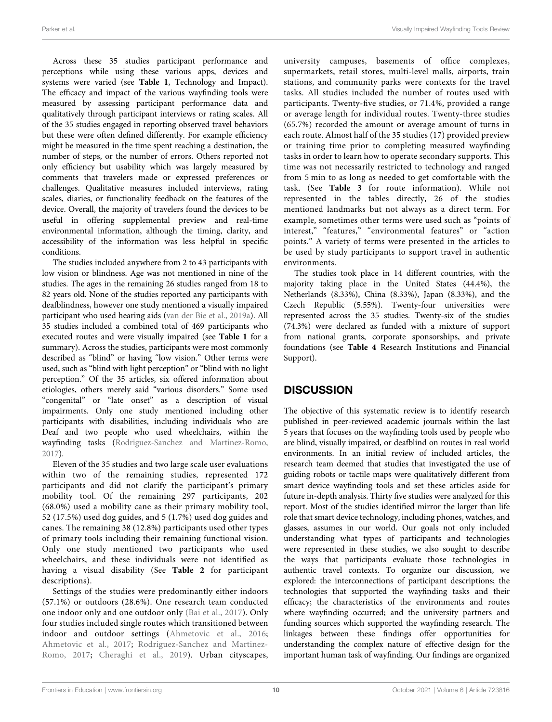Across these 35 studies participant performance and perceptions while using these various apps, devices and systems were varied (see [Table 1](#page-5-0), Technology and Impact). The efficacy and impact of the various wayfinding tools were measured by assessing participant performance data and qualitatively through participant interviews or rating scales. All of the 35 studies engaged in reporting observed travel behaviors but these were often defined differently. For example efficiency might be measured in the time spent reaching a destination, the number of steps, or the number of errors. Others reported not only efficiency but usability which was largely measured by comments that travelers made or expressed preferences or challenges. Qualitative measures included interviews, rating scales, diaries, or functionality feedback on the features of the device. Overall, the majority of travelers found the devices to be useful in offering supplemental preview and real-time environmental information, although the timing, clarity, and accessibility of the information was less helpful in specific conditions.

The studies included anywhere from 2 to 43 participants with low vision or blindness. Age was not mentioned in nine of the studies. The ages in the remaining 26 studies ranged from 18 to 82 years old. None of the studies reported any participants with deafblindness, however one study mentioned a visually impaired participant who used hearing aids ([van der Bie et al., 2019a](#page-23-24)). All 35 studies included a combined total of 469 participants who executed routes and were visually impaired (see [Table 1](#page-5-0) for a summary). Across the studies, participants were most commonly described as "blind" or having "low vision." Other terms were used, such as "blind with light perception" or "blind with no light perception." Of the 35 articles, six offered information about etiologies, others merely said "various disorders." Some used "congenital" or "late onset" as a description of visual impairments. Only one study mentioned including other participants with disabilities, including individuals who are Deaf and two people who used wheelchairs, within the wayfinding tasks [\(Rodriguez-Sanchez and Martinez-Romo,](#page-23-20) [2017](#page-23-20)).

Eleven of the 35 studies and two large scale user evaluations within two of the remaining studies, represented 172 participants and did not clarify the participant's primary mobility tool. Of the remaining 297 participants, 202 (68.0%) used a mobility cane as their primary mobility tool, 52 (17.5%) used dog guides, and 5 (1.7%) used dog guides and canes. The remaining 38 (12.8%) participants used other types of primary tools including their remaining functional vision. Only one study mentioned two participants who used wheelchairs, and these individuals were not identified as having a visual disability (See [Table 2](#page-10-0) for participant descriptions).

Settings of the studies were predominantly either indoors (57.1%) or outdoors (28.6%). One research team conducted one indoor only and one outdoor only [\(Bai et al., 2017](#page-22-16)). Only four studies included single routes which transitioned between indoor and outdoor settings ([Ahmetovic et al., 2016](#page-21-6); [Ahmetovic et al., 2017;](#page-21-7) [Rodriguez-Sanchez and Martinez-](#page-23-20)[Romo, 2017;](#page-23-20) [Cheraghi et al., 2019](#page-22-23)). Urban cityscapes,

university campuses, basements of office complexes, supermarkets, retail stores, multi-level malls, airports, train stations, and community parks were contexts for the travel tasks. All studies included the number of routes used with participants. Twenty-five studies, or 71.4%, provided a range or average length for individual routes. Twenty-three studies (65.7%) recorded the amount or average amount of turns in each route. Almost half of the 35 studies (17) provided preview or training time prior to completing measured wayfinding tasks in order to learn how to operate secondary supports. This time was not necessarily restricted to technology and ranged from 5 min to as long as needed to get comfortable with the task. (See [Table 3](#page-12-0) for route information). While not represented in the tables directly, 26 of the studies mentioned landmarks but not always as a direct term. For example, sometimes other terms were used such as "points of interest," "features," "environmental features" or "action points." A variety of terms were presented in the articles to be used by study participants to support travel in authentic environments.

The studies took place in 14 different countries, with the majority taking place in the United States (44.4%), the Netherlands (8.33%), China (8.33%), Japan (8.33%), and the Czech Republic (5.55%). Twenty-four universities were represented across the 35 studies. Twenty-six of the studies (74.3%) were declared as funded with a mixture of support from national grants, corporate sponsorships, and private foundations (see [Table 4](#page-16-0) Research Institutions and Financial Support).

# **DISCUSSION**

The objective of this systematic review is to identify research published in peer-reviewed academic journals within the last 5 years that focuses on the wayfinding tools used by people who are blind, visually impaired, or deafblind on routes in real world environments. In an initial review of included articles, the research team deemed that studies that investigated the use of guiding robots or tactile maps were qualitatively different from smart device wayfinding tools and set these articles aside for future in-depth analysis. Thirty five studies were analyzed for this report. Most of the studies identified mirror the larger than life role that smart device technology, including phones, watches, and glasses, assumes in our world. Our goals not only included understanding what types of participants and technologies were represented in these studies, we also sought to describe the ways that participants evaluate those technologies in authentic travel contexts. To organize our discussion, we explored: the interconnections of participant descriptions; the technologies that supported the wayfinding tasks and their efficacy; the characteristics of the environments and routes where wayfinding occurred; and the university partners and funding sources which supported the wayfinding research. The linkages between these findings offer opportunities for understanding the complex nature of effective design for the important human task of wayfinding. Our findings are organized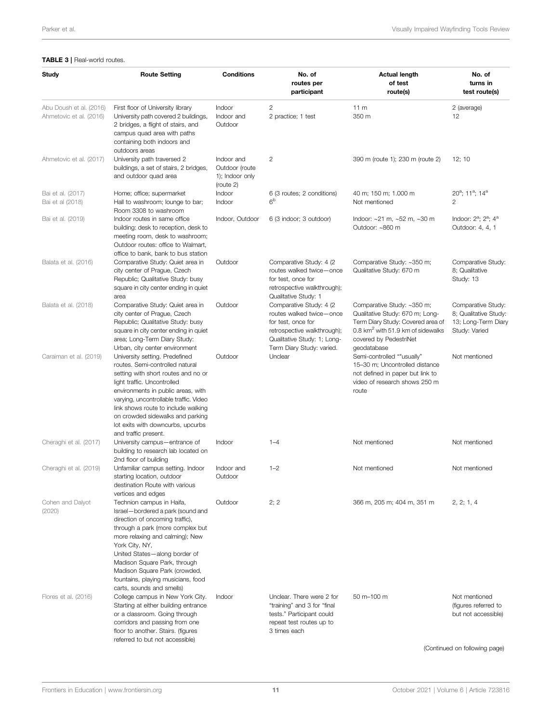#### <span id="page-12-0"></span>TABLE 3 | Real-world routes.

| Study                                              | <b>Route Setting</b>                                                                                                                                                                                                                                                                                                                                            | <b>Conditions</b>                                            | No. of<br>routes per<br>participant                                                                                                                                   | <b>Actual length</b><br>of test<br>route(s)                                                                                                                                                  | No. of<br>turns in<br>test route(s)                                                 |
|----------------------------------------------------|-----------------------------------------------------------------------------------------------------------------------------------------------------------------------------------------------------------------------------------------------------------------------------------------------------------------------------------------------------------------|--------------------------------------------------------------|-----------------------------------------------------------------------------------------------------------------------------------------------------------------------|----------------------------------------------------------------------------------------------------------------------------------------------------------------------------------------------|-------------------------------------------------------------------------------------|
| Abu Doush et al. (2016)<br>Ahmetovic et al. (2016) | First floor of University library<br>University path covered 2 buildings,<br>2 bridges, a flight of stairs, and<br>campus quad area with paths<br>containing both indoors and                                                                                                                                                                                   | Indoor<br>Indoor and<br>Outdoor                              | 2<br>2 practice; 1 test                                                                                                                                               | 11 <sub>m</sub><br>350 m                                                                                                                                                                     | 2 (average)<br>12                                                                   |
| Ahmetovic et al. (2017)                            | outdoors areas<br>University path traversed 2<br>buildings, a set of stairs, 2 bridges,<br>and outdoor quad area                                                                                                                                                                                                                                                | Indoor and<br>Outdoor (route<br>1); Indoor only<br>(route 2) | 2                                                                                                                                                                     | 390 m (route 1); 230 m (route 2)                                                                                                                                                             | 12; 10                                                                              |
| Bai et al. (2017)<br>Bai et al (2018)              | Home; office; supermarket<br>Hall to washroom; lounge to bar;<br>Room 3308 to washroom                                                                                                                                                                                                                                                                          | Indoor<br>Indoor                                             | 6 (3 routes; 2 conditions)<br>6 <sup>b</sup>                                                                                                                          | 40 m; 150 m; 1.000 m<br>Not mentioned                                                                                                                                                        | $20^a$ ; 11 <sup>a</sup> ; 14 <sup>a</sup><br>2                                     |
| Bai et al. (2019)                                  | Indoor routes in same office<br>building: desk to reception, desk to<br>meeting room, desk to washroom;<br>Outdoor routes: office to Walmart,<br>office to bank, bank to bus station                                                                                                                                                                            | Indoor, Outdoor                                              | 6 (3 indoor; 3 outdoor)                                                                                                                                               | Indoor: $\sim$ 21 m, $\sim$ 52 m, $\sim$ 30 m<br>Outdoor: ~860 m                                                                                                                             | Indoor: $2^a$ ; $2^a$ ; $4^a$<br>Outdoor: 4, 4, 1                                   |
| Balata et al. (2016)                               | Comparative Study: Quiet area in<br>city center of Prague, Czech<br>Republic; Qualitative Study: busy<br>square in city center ending in quiet<br>area                                                                                                                                                                                                          | Outdoor                                                      | Comparative Study: 4 (2)<br>routes walked twice-once<br>for test, once for<br>retrospective walkthrough);<br>Qualitative Study: 1                                     | Comparative Study: ~350 m;<br>Qualitative Study: 670 m                                                                                                                                       | Comparative Study:<br>8; Qualitative<br>Study: 13                                   |
| Balata et al. (2018)                               | Comparative Study: Quiet area in<br>city center of Prague, Czech<br>Republic; Qualitative Study: busy<br>square in city center ending in quiet<br>area; Long-Term Diary Study:<br>Urban, city center environment                                                                                                                                                | Outdoor                                                      | Comparative Study: 4 (2)<br>routes walked twice-once<br>for test, once for<br>retrospective walkthrough);<br>Qualitative Study: 1; Long-<br>Term Diary Study: varied. | Comparative Study: ~350 m;<br>Qualitative Study: 670 m; Long-<br>Term Diary Study: Covered area of<br>0.8 km <sup>2</sup> with 51.9 km of sidewalks<br>covered by PedestriNet<br>geodatabase | Comparative Study:<br>8; Qualitative Study:<br>13; Long-Term Diary<br>Study: Varied |
| Caraiman et al. (2019)                             | University setting. Predefined<br>routes. Semi-controlled natural<br>setting with short routes and no or<br>light traffic. Uncontrolled<br>environments in public areas, with<br>varying, uncontrollable traffic. Video<br>link shows route to include walking<br>on crowded sidewalks and parking<br>lot exits with downcurbs, upcurbs<br>and traffic present. | Outdoor                                                      | Unclear                                                                                                                                                               | Semi-controlled ""usually"<br>15-30 m; Uncontrolled distance<br>not defined in paper but link to<br>video of research shows 250 m<br>route                                                   | Not mentioned                                                                       |
| Cheraghi et al. (2017)                             | University campus-entrance of<br>building to research lab located on<br>2nd floor of building                                                                                                                                                                                                                                                                   | Indoor                                                       | $1 - 4$                                                                                                                                                               | Not mentioned                                                                                                                                                                                | Not mentioned                                                                       |
| Cheraghi et al. (2019)                             | Unfamiliar campus setting. Indoor<br>starting location, outdoor<br>destination Route with various<br>vertices and edges                                                                                                                                                                                                                                         | Indoor and<br>Outdoor                                        | $1 - 2$                                                                                                                                                               | Not mentioned                                                                                                                                                                                | Not mentioned                                                                       |
| Cohen and Dalyot<br>(2020)                         | Technion campus in Haifa,<br>Israel-bordered a park (sound and<br>direction of oncoming traffic),<br>through a park (more complex but<br>more relaxing and calming); New<br>York City, NY,<br>United States-along border of<br>Madison Square Park, through<br>Madison Square Park (crowded,<br>fountains, playing musicians, food<br>carts, sounds and smells) | Outdoor                                                      | 2:2                                                                                                                                                                   | 366 m, 205 m; 404 m, 351 m                                                                                                                                                                   | 2, 2, 1, 4                                                                          |
| Flores et al. (2016)                               | College campus in New York City.<br>Starting at either building entrance<br>or a classroom. Going through<br>corridors and passing from one<br>floor to another. Stairs. (figures<br>referred to but not accessible)                                                                                                                                            | Indoor                                                       | Unclear. There were 2 for<br>"training" and 3 for "final<br>tests." Participant could<br>repeat test routes up to<br>3 times each                                     | 50 m-100 m                                                                                                                                                                                   | Not mentioned<br>(figures referred to<br>but not accessible)                        |
|                                                    |                                                                                                                                                                                                                                                                                                                                                                 |                                                              |                                                                                                                                                                       |                                                                                                                                                                                              | (Continued on following page)                                                       |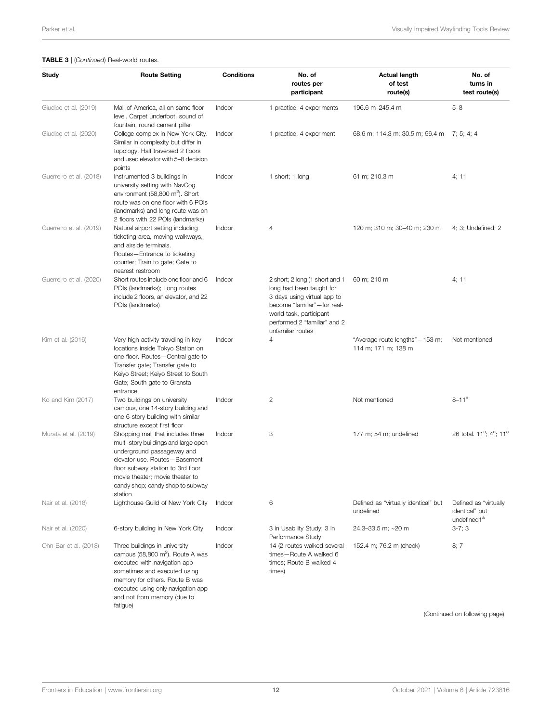#### TABLE 3 | (Continued) Real-world routes.

| Study                   | <b>Route Setting</b>                                                                                                                                                                                                                                            | <b>Conditions</b> | No. of<br>routes per<br>participant                                                                                                                                                                      | <b>Actual length</b><br>of test<br>route(s)             | No. of<br>turns in<br>test route(s)                                |
|-------------------------|-----------------------------------------------------------------------------------------------------------------------------------------------------------------------------------------------------------------------------------------------------------------|-------------------|----------------------------------------------------------------------------------------------------------------------------------------------------------------------------------------------------------|---------------------------------------------------------|--------------------------------------------------------------------|
| Giudice et al. (2019)   | Mall of America, all on same floor<br>level. Carpet underfoot, sound of<br>fountain, round cement pillar                                                                                                                                                        | Indoor            | 1 practice; 4 experiments                                                                                                                                                                                | 196.6 m-245.4 m                                         | $5 - 8$                                                            |
| Giudice et al. (2020)   | College complex in New York City.<br>Similar in complexity but differ in<br>topology. Half traversed 2 floors<br>and used elevator with 5-8 decision<br>points                                                                                                  | Indoor            | 1 practice; 4 experiment                                                                                                                                                                                 | 68.6 m; 114.3 m; 30.5 m; 56.4 m 7; 5; 4; 4              |                                                                    |
| Guerreiro et al. (2018) | Instrumented 3 buildings in<br>university setting with NavCog<br>environment $(58,800 \text{ m}^2)$ . Short<br>route was on one floor with 6 POIs<br>(landmarks) and long route was on<br>2 floors with 22 POIs (landmarks)                                     | Indoor            | 1 short; 1 long                                                                                                                                                                                          | 61 m; 210.3 m                                           | 4; 11                                                              |
| Guerreiro et al. (2019) | Natural airport setting including<br>ticketing area, moving walkways,<br>and airside terminals.<br>Routes-Entrance to ticketing<br>counter; Train to gate; Gate to<br>nearest restroom                                                                          | Indoor            | 4                                                                                                                                                                                                        | 120 m; 310 m; 30-40 m; 230 m                            | 4; 3; Undefined; 2                                                 |
| Guerreiro et al. (2020) | Short routes include one floor and 6<br>POIs (landmarks); Long routes<br>include 2 floors, an elevator, and 22<br>POIs (landmarks)                                                                                                                              | Indoor            | 2 short; 2 long (1 short and 1<br>long had been taught for<br>3 days using virtual app to<br>become "familiar"-for real-<br>world task, participant<br>performed 2 "familiar" and 2<br>unfamiliar routes | 60 m; 210 m                                             | 4; 11                                                              |
| Kim et al. (2016)       | Very high activity traveling in key<br>locations inside Tokyo Station on<br>one floor. Routes-Central gate to<br>Transfer gate; Transfer gate to<br>Keiyo Street; Keiyo Street to South<br>Gate; South gate to Gransta<br>entrance                              | Indoor            | 4                                                                                                                                                                                                        | "Average route lengths" - 153 m;<br>114 m; 171 m; 138 m | Not mentioned                                                      |
| Ko and Kim (2017)       | Two buildings on university<br>campus, one 14-story building and<br>one 6-story building with similar<br>structure except first floor                                                                                                                           | Indoor            | $\mathbf{2}$                                                                                                                                                                                             | Not mentioned                                           | $8 - 11^a$                                                         |
| Murata et al. (2019)    | Shopping mall that includes three<br>multi-story buildings and large open<br>underground passageway and<br>elevator use. Routes-Basement<br>floor subway station to 3rd floor<br>movie theater: movie theater to<br>candy shop; candy shop to subway<br>station | Indoor            | 3                                                                                                                                                                                                        | 177 m; 54 m; undefined                                  | 26 total. 11 <sup>a</sup> ; 4 <sup>a</sup> ; 11 <sup>a</sup>       |
| Nair et al. (2018)      | Lighthouse Guild of New York City                                                                                                                                                                                                                               | Indoor            | 6                                                                                                                                                                                                        | Defined as "virtually identical" but<br>undefined       | Defined as "virtually<br>identical" but<br>undefined1 <sup>a</sup> |
| Nair et al. (2020)      | 6-story building in New York City                                                                                                                                                                                                                               | Indoor            | 3 in Usability Study; 3 in<br>Performance Study                                                                                                                                                          | 24.3-33.5 m; ~20 m                                      | $3-7;3$                                                            |
| Ohn-Bar et al. (2018)   | Three buildings in university<br>campus (58,800 m <sup>2</sup> ). Route A was<br>executed with navigation app<br>sometimes and executed using<br>memory for others. Route B was<br>executed using only navigation app<br>and not from memory (due to            | Indoor            | 14 (2 routes walked several<br>times-Route A walked 6<br>times: Route B walked 4<br>times)                                                                                                               | 152.4 m; 76.2 m (check)                                 | 8; 7                                                               |
|                         | fatigue)                                                                                                                                                                                                                                                        |                   |                                                                                                                                                                                                          |                                                         | (Continued on following page)                                      |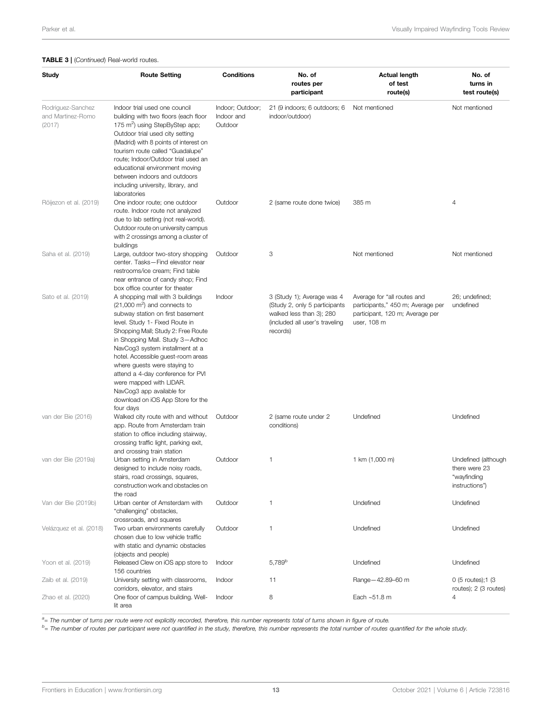#### TABLE 3 | (Continued) Real-world routes.

| Study                                            | <b>Route Setting</b>                                                                                                                                                                                                                                                                                                                                                                                                                                                              | <b>Conditions</b>                         | No. of<br>routes per<br>participant                                                                                                   | <b>Actual length</b><br>of test<br>route(s)                                                                        | No. of<br>turns in<br>test route(s)                                   |
|--------------------------------------------------|-----------------------------------------------------------------------------------------------------------------------------------------------------------------------------------------------------------------------------------------------------------------------------------------------------------------------------------------------------------------------------------------------------------------------------------------------------------------------------------|-------------------------------------------|---------------------------------------------------------------------------------------------------------------------------------------|--------------------------------------------------------------------------------------------------------------------|-----------------------------------------------------------------------|
| Rodriguez-Sanchez<br>and Martinez-Romo<br>(2017) | Indoor trial used one council<br>building with two floors (each floor<br>175 m <sup>2</sup> ) using StepByStep app;<br>Outdoor trial used city setting<br>(Madrid) with 8 points of interest on<br>tourism route called "Guadalupe"<br>route; Indoor/Outdoor trial used an<br>educational environment moving<br>between indoors and outdoors<br>including university, library, and<br>laboratories                                                                                | Indoor; Outdoor;<br>Indoor and<br>Outdoor | 21 (9 indoors; 6 outdoors; 6<br>indoor/outdoor)                                                                                       | Not mentioned                                                                                                      | Not mentioned                                                         |
| Röijezon et al. (2019)                           | One indoor route; one outdoor<br>route. Indoor route not analyzed<br>due to lab setting (not real-world).<br>Outdoor route on university campus<br>with 2 crossings among a cluster of<br>buildings                                                                                                                                                                                                                                                                               | Outdoor                                   | 2 (same route done twice)                                                                                                             | 385 m                                                                                                              | $\overline{4}$                                                        |
| Saha et al. (2019)                               | Large, outdoor two-story shopping<br>center. Tasks-Find elevator near<br>restrooms/ice cream; Find table<br>near entrance of candy shop; Find<br>box office counter for theater                                                                                                                                                                                                                                                                                                   | Outdoor                                   | 3                                                                                                                                     | Not mentioned                                                                                                      | Not mentioned                                                         |
| Sato et al. (2019)                               | A shopping mall with 3 buildings<br>$(21,000 \text{ m}^2)$ and connects to<br>subway station on first basement<br>level. Study 1- Fixed Route in<br>Shopping Mall; Study 2: Free Route<br>in Shopping Mall. Study 3-Adhoc<br>NavCog3 system installment at a<br>hotel. Accessible guest-room areas<br>where guests were staying to<br>attend a 4-day conference for PVI<br>were mapped with LIDAR.<br>NavCog3 app available for<br>download on iOS App Store for the<br>four days | Indoor                                    | 3 (Study 1); Average was 4<br>(Study 2, only 5 participants<br>walked less than 3); 280<br>(included all user's traveling<br>records) | Average for "all routes and<br>participants," 450 m; Average per<br>participant, 120 m; Average per<br>user, 108 m | 26; undefined;<br>undefined                                           |
| van der Bie (2016)                               | Walked city route with and without<br>app. Route from Amsterdam train<br>station to office including stairway,<br>crossing traffic light, parking exit,<br>and crossing train station                                                                                                                                                                                                                                                                                             | Outdoor                                   | 2 (same route under 2<br>conditions)                                                                                                  | Undefined                                                                                                          | Undefined                                                             |
| van der Bie (2019a)                              | Urban setting in Amsterdam<br>designed to include noisy roads,<br>stairs, road crossings, squares,<br>construction work and obstacles on<br>the road                                                                                                                                                                                                                                                                                                                              | Outdoor                                   | 1                                                                                                                                     | 1 km (1,000 m)                                                                                                     | Undefined (although<br>there were 23<br>"wayfinding<br>instructions") |
| Van der Bie (2019b)                              | Urban center of Amsterdam with<br>"challenging" obstacles,<br>crossroads, and squares                                                                                                                                                                                                                                                                                                                                                                                             | Outdoor                                   | 1                                                                                                                                     | Undefined                                                                                                          | Undefined                                                             |
| Velázquez et al. (2018)                          | Two urban environments carefully<br>chosen due to low vehicle traffic<br>with static and dynamic obstacles<br>(objects and people)                                                                                                                                                                                                                                                                                                                                                | Outdoor                                   | 1                                                                                                                                     | Undefined                                                                                                          | Undefined                                                             |
| Yoon et al. (2019)                               | Released Clew on iOS app store to<br>156 countries                                                                                                                                                                                                                                                                                                                                                                                                                                | Indoor                                    | $5,789^{\rm b}$                                                                                                                       | Undefined                                                                                                          | Undefined                                                             |
| Zaib et al. (2019)                               | University setting with classrooms,<br>corridors, elevator, and stairs                                                                                                                                                                                                                                                                                                                                                                                                            | Indoor                                    | 11                                                                                                                                    | Range-42.89-60 m                                                                                                   | 0 (5 routes); 1 (3<br>routes); 2 (3 routes)                           |
| Zhao et al. (2020)                               | One floor of campus building. Well-<br>lit area                                                                                                                                                                                                                                                                                                                                                                                                                                   | Indoor                                    | 8                                                                                                                                     | Each ~51.8 m                                                                                                       | 4                                                                     |

<sup>a</sup>= The number of turns per route were not explicitly recorded, therefore, this number represents total of turns shown in figure of route.

<sup>a</sup>= The number of turns per route were not explicitly recorded, therefore, this number represents total of turns shown in figure of route.<br><sup>b</sup>= The number of routes per participant were not quantified in the study, theref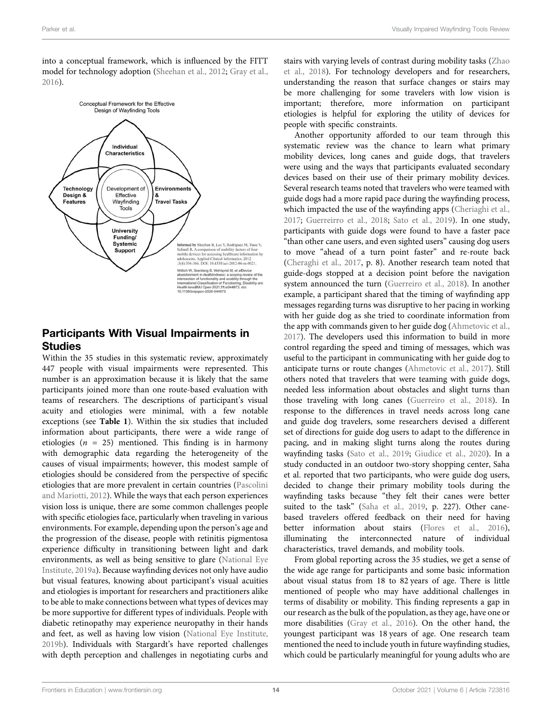into a conceptual framework, which is influenced by the FITT model for technology adoption ([Sheehan et al., 2012](#page-23-25); [Gray et al.,](#page-23-1) [2016](#page-23-1)).



# Participants With Visual Impairments in **Studies**

Within the 35 studies in this systematic review, approximately 447 people with visual impairments were represented. This number is an approximation because it is likely that the same participants joined more than one route-based evaluation with teams of researchers. The descriptions of participant's visual acuity and etiologies were minimal, with a few notable exceptions (see [Table 1](#page-5-0)). Within the six studies that included information about participants, there were a wide range of etiologies ( $n = 25$ ) mentioned. This finding is in harmony with demographic data regarding the heterogeneity of the causes of visual impairments; however, this modest sample of etiologies should be considered from the perspective of specific etiologies that are more prevalent in certain countries [\(Pascolini](#page-23-2) [and Mariotti, 2012](#page-23-2)). While the ways that each person experiences vision loss is unique, there are some common challenges people with specific etiologies face, particularly when traveling in various environments. For example, depending upon the person's age and the progression of the disease, people with retinitis pigmentosa experience difficulty in transitioning between light and dark environments, as well as being sensitive to glare [\(National Eye](#page-23-26) [Institute, 2019a](#page-23-26)). Because wayfinding devices not only have audio but visual features, knowing about participant's visual acuities and etiologies is important for researchers and practitioners alike to be able to make connections between what types of devices may be more supportive for different types of individuals. People with diabetic retinopathy may experience neuropathy in their hands and feet, as well as having low vision [\(National Eye Institute,](#page-23-27) [2019b](#page-23-27)). Individuals with Stargardt's have reported challenges with depth perception and challenges in negotiating curbs and

stairs with varying levels of contrast during mobility tasks [\(Zhao](#page-24-11) [et al., 2018](#page-24-11)). For technology developers and for researchers, understanding the reason that surface changes or stairs may be more challenging for some travelers with low vision is important; therefore, more information on participant etiologies is helpful for exploring the utility of devices for people with specific constraints.

Another opportunity afforded to our team through this systematic review was the chance to learn what primary mobility devices, long canes and guide dogs, that travelers were using and the ways that participants evaluated secondary devices based on their use of their primary mobility devices. Several research teams noted that travelers who were teamed with guide dogs had a more rapid pace during the wayfinding process, which impacted the use of the wayfinding apps [\(Cheriaghi et al.,](#page-22-22) [2017](#page-22-22); [Guerreirro et al., 2018](#page-22-27); [Sato et al., 2019](#page-23-23)). In one study, participants with guide dogs were found to have a faster pace "than other cane users, and even sighted users" causing dog users to move "ahead of a turn point faster" and re-route back [\(Cheraghi et al., 2017,](#page-22-22) p. 8). Another research team noted that guide-dogs stopped at a decision point before the navigation system announced the turn [\(Guerreiro et al., 2018\)](#page-22-27). In another example, a participant shared that the timing of wayfinding app messages regarding turns was disruptive to her pacing in working with her guide dog as she tried to coordinate information from the app with commands given to her guide dog ([Ahmetovic et al.,](#page-21-7) [2017](#page-21-7)). The developers used this information to build in more control regarding the speed and timing of messages, which was useful to the participant in communicating with her guide dog to anticipate turns or route changes [\(Ahmetovic et al., 2017\)](#page-21-7). Still others noted that travelers that were teaming with guide dogs, needed less information about obstacles and slight turns than those traveling with long canes ([Guerreiro et al., 2018](#page-22-27)). In response to the differences in travel needs across long cane and guide dog travelers, some researchers devised a different set of directions for guide dog users to adapt to the difference in pacing, and in making slight turns along the routes during wayfinding tasks ([Sato et al., 2019](#page-23-23); [Giudice et al., 2020](#page-22-26)). In a study conducted in an outdoor two-story shopping center, Saha et al. reported that two participants, who were guide dog users, decided to change their primary mobility tools during the wayfinding tasks because "they felt their canes were better suited to the task" [\(Saha et al., 2019,](#page-23-22) p. 227). Other canebased travelers offered feedback on their need for having better information about stairs ([Flores et al., 2016\)](#page-24-4), illuminating the interconnected nature of individual characteristics, travel demands, and mobility tools.

From global reporting across the 35 studies, we get a sense of the wide age range for participants and some basic information about visual status from 18 to 82 years of age. There is little mentioned of people who may have additional challenges in terms of disability or mobility. This finding represents a gap in our research as the bulk of the population, as they age, have one or more disabilities ([Gray et al., 2016](#page-23-1)). On the other hand, the youngest participant was 18 years of age. One research team mentioned the need to include youth in future wayfinding studies, which could be particularly meaningful for young adults who are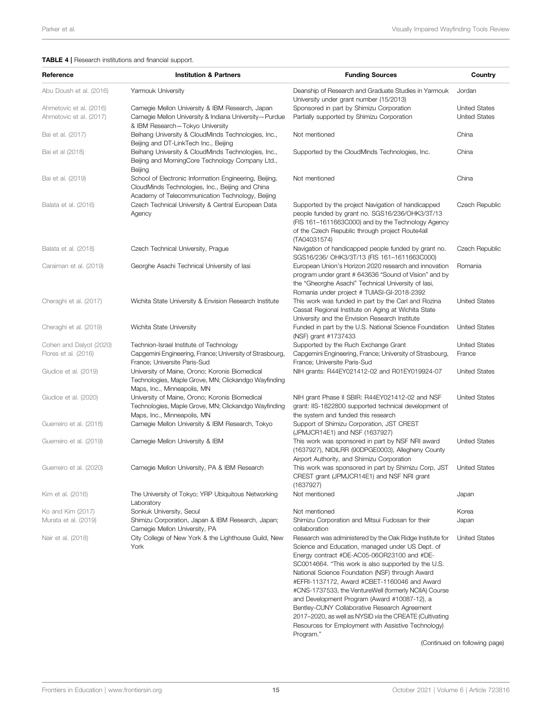#### <span id="page-16-0"></span>TABLE 4 | Research institutions and financial support.

| Reference                                       | <b>Institution &amp; Partners</b>                                                                                                                              | <b>Funding Sources</b>                                                                                                                                                                                                                                                                                                                                                                                                         | Country                        |
|-------------------------------------------------|----------------------------------------------------------------------------------------------------------------------------------------------------------------|--------------------------------------------------------------------------------------------------------------------------------------------------------------------------------------------------------------------------------------------------------------------------------------------------------------------------------------------------------------------------------------------------------------------------------|--------------------------------|
| Abu Doush et al. (2016)                         | Yarmouk University                                                                                                                                             | Deanship of Research and Graduate Studies in Yarmouk<br>University under grant number (15/2013)                                                                                                                                                                                                                                                                                                                                | Jordan                         |
| Ahmetovic et al. (2016)                         | Carnegie Mellon University & IBM Research, Japan                                                                                                               | Sponsored in part by Shimizu Corporation                                                                                                                                                                                                                                                                                                                                                                                       | <b>United States</b>           |
| Ahmetovic et al. (2017)                         | Carnegie Mellon University & Indiana University-Purdue<br>& IBM Research-Tokyo University                                                                      | Partially supported by Shimizu Corporation                                                                                                                                                                                                                                                                                                                                                                                     | <b>United States</b>           |
| Bai et al. (2017)                               | Beihang University & CloudMinds Technologies, Inc.,<br>Beijing and DT-LinkTech Inc., Beijing                                                                   | Not mentioned                                                                                                                                                                                                                                                                                                                                                                                                                  | China                          |
| Bai et al (2018)                                | Beihang University & CloudMinds Technologies, Inc.,<br>Beijing and MorningCore Technology Company Ltd.,<br>Beijing                                             | Supported by the CloudMinds Technologies, Inc.                                                                                                                                                                                                                                                                                                                                                                                 | China                          |
| Bai et al. (2019)                               | School of Electronic Information Engineering, Beijing,<br>CloudMinds Technologies, Inc., Beijing and China<br>Academy of Telecommunication Technology, Beijing | Not mentioned                                                                                                                                                                                                                                                                                                                                                                                                                  | China                          |
| Balata et al. (2016)                            | Czech Technical University & Central European Data<br>Agency                                                                                                   | Supported by the project Navigation of handicapped<br>people funded by grant no. SGS16/236/OHK3/3T/13<br>(FIS 161-1611663C000) and by the Technology Agency<br>of the Czech Republic through project Route4all<br>(TA04031574)                                                                                                                                                                                                 | Czech Republic                 |
| Balata et al. (2018)                            | Czech Technical University, Prague                                                                                                                             | Navigation of handicapped people funded by grant no.<br>SGS16/236/ OHK3/3T/13 (FIS 161-1611663C000)                                                                                                                                                                                                                                                                                                                            | Czech Republic                 |
| Caraiman et al. (2019)                          | Georghe Asachi Technical University of lasi                                                                                                                    | European Union's Horizon 2020 research and innovation<br>program under grant # 643636 "Sound of Vision" and by<br>the "Gheorghe Asachi" Technical University of lasi,<br>Romania under project # TUIASI-GI-2018-2392                                                                                                                                                                                                           | Romania                        |
| Cheraghi et al. (2017)                          | Wichita State University & Envision Research Institute                                                                                                         | This work was funded in part by the Carl and Rozina<br>Cassat Regional Institute on Aging at Wichita State<br>University and the Envision Research Institute                                                                                                                                                                                                                                                                   | <b>United States</b>           |
| Cheraghi et al. (2019)                          | Wichita State University                                                                                                                                       | Funded in part by the U.S. National Science Foundation<br>(NSF) grant #1737433                                                                                                                                                                                                                                                                                                                                                 | <b>United States</b>           |
| Cohen and Dalyot (2020)<br>Flores et al. (2016) | Technion-Israel Institute of Technology<br>Capgemini Engineering, France; University of Strasbourg,<br>France; Universite Paris-Sud                            | Supported by the Ruch Exchange Grant<br>Capgemini Engineering, France; University of Strasbourg,<br>France; Universite Paris-Sud                                                                                                                                                                                                                                                                                               | <b>United States</b><br>France |
| Giudice et al. (2019)                           | University of Maine, Orono; Koronis Biomedical<br>Technologies, Maple Grove, MN; Clickandgo Wayfinding<br>Maps, Inc., Minneapolis, MN                          | NIH grants: R44EY021412-02 and R01EY019924-07                                                                                                                                                                                                                                                                                                                                                                                  | <b>United States</b>           |
| Giudice et al. (2020)                           | University of Maine, Orono; Koronis Biomedical<br>Technologies, Maple Grove, MN; Clickandgo Wayfinding<br>Maps, Inc., Minneapolis, MN                          | NIH grant Phase II SBIR: R44EY021412-02 and NSF<br>grant: IIS-1822800 supported technical development of<br>the system and funded this research                                                                                                                                                                                                                                                                                | <b>United States</b>           |
| Guerreiro et al. (2018)                         | Carnegie Mellon University & IBM Research, Tokyo                                                                                                               | Support of Shimizu Corporation, JST CREST<br>(JPMJCR14E1) and NSF (1637927)                                                                                                                                                                                                                                                                                                                                                    |                                |
| Guerreiro et al. (2019)                         | Carnegie Mellon University & IBM                                                                                                                               | This work was sponsored in part by NSF NRI award<br>(1637927), NIDILRR (90DPGE0003), Allegheny County<br>Airport Authority, and Shimizu Corporation                                                                                                                                                                                                                                                                            | <b>United States</b>           |
| Guerreiro et al. (2020)                         | Carnegie Mellon University, PA & IBM Research                                                                                                                  | This work was sponsored in part by Shimizu Corp, JST<br>CREST grant (JPMJCR14E1) and NSF NRI grant<br>(1637927)                                                                                                                                                                                                                                                                                                                | <b>United States</b>           |
| Kim et al. (2016)                               | The University of Tokyo; YRP Ubiquitous Networking<br>Laboratory                                                                                               | Not mentioned                                                                                                                                                                                                                                                                                                                                                                                                                  | Japan                          |
| Ko and Kim (2017)                               | Sonkuk University, Seoul                                                                                                                                       | Not mentioned                                                                                                                                                                                                                                                                                                                                                                                                                  | Korea                          |
| Murata et al. (2019)                            | Shimizu Corporation, Japan & IBM Research, Japan;<br>Carnegie Mellon University, PA                                                                            | Shimizu Corporation and Mitsui Fudosan for their<br>collaboration                                                                                                                                                                                                                                                                                                                                                              | Japan                          |
| Nair et al. (2018)                              | City College of New York & the Lighthouse Guild, New<br>York                                                                                                   | Research was administered by the Oak Ridge Institute for<br>Science and Education, managed under US Dept. of<br>Energy contract #DE-AC05-06OR23100 and #DE-<br>SC0014664. "This work is also supported by the U.S.<br>National Science Foundation (NSF) through Award<br>#EFRI-1137172, Award #CBET-1160046 and Award<br>#CNS-1737533, the VentureWell (formerly NCIIA) Course<br>and Development Program (Award #10087-12), a | <b>United States</b>           |
|                                                 |                                                                                                                                                                | Bentley-CUNY Collaborative Research Agreement<br>2017-2020, as well as NYSID via the CREATE (Cultivating<br>Resources for Employment with Assistive Technology)                                                                                                                                                                                                                                                                |                                |

(Continued on following page)

Program."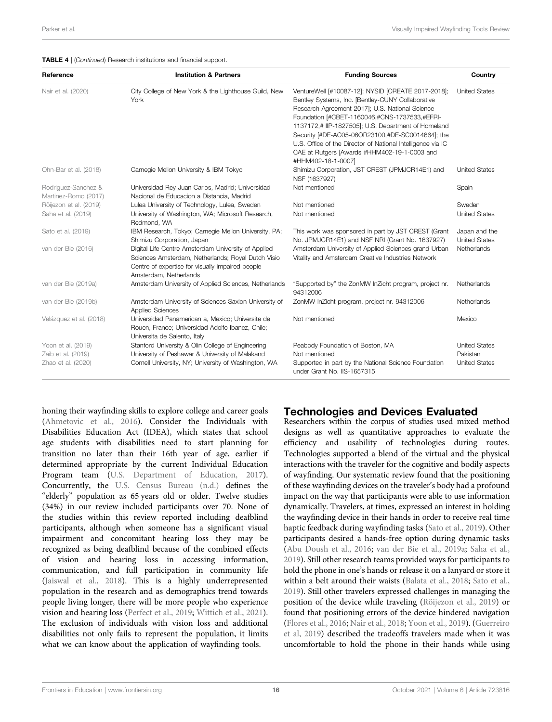| Reference                                                      | <b>Institution &amp; Partners</b>                                                                                                                                                       | <b>Funding Sources</b>                                                                                                                                                                                                                                                                                                                                                                                                                                      | Country                                                  |
|----------------------------------------------------------------|-----------------------------------------------------------------------------------------------------------------------------------------------------------------------------------------|-------------------------------------------------------------------------------------------------------------------------------------------------------------------------------------------------------------------------------------------------------------------------------------------------------------------------------------------------------------------------------------------------------------------------------------------------------------|----------------------------------------------------------|
| Nair et al. (2020)                                             | City College of New York & the Lighthouse Guild, New<br>York                                                                                                                            | VentureWell [#10087-12]; NYSID [CREATE 2017-2018];<br>Bentley Systems, Inc. [Bentley-CUNY Collaborative<br>Research Agreement 2017]; U.S. National Science<br>Foundation [#CBET-1160046,#CNS-1737533,#EFRI-<br>1137172,# IIP-1827505]; U.S. Department of Homeland<br>Security [#DE-AC05-06OR23100,#DE-SC0014664]; the<br>U.S. Office of the Director of National Intelligence via IC<br>CAE at Rutgers [Awards #HHM402-19-1-0003 and<br>#HHM402-18-1-0007] | <b>United States</b>                                     |
| Ohn-Bar et al. (2018)                                          | Carnegie Mellon University & IBM Tokyo                                                                                                                                                  | Shimizu Corporation, JST CREST (JPMJCR14E1) and<br>NSF (1637927)                                                                                                                                                                                                                                                                                                                                                                                            | <b>United States</b>                                     |
| Rodriguez-Sanchez &<br>Martinez-Romo (2017)                    | Universidad Rey Juan Carlos, Madrid; Universidad<br>Nacional de Educacion a Distancia, Madrid                                                                                           | Not mentioned                                                                                                                                                                                                                                                                                                                                                                                                                                               | Spain                                                    |
| Röijezon et al. (2019)<br>Saha et al. (2019)                   | Lulea University of Technology, Lulea, Sweden<br>University of Washington, WA; Microsoft Research,<br>Redmond, WA                                                                       | Not mentioned<br>Not mentioned                                                                                                                                                                                                                                                                                                                                                                                                                              | Sweden<br><b>United States</b>                           |
| Sato et al. (2019)                                             | IBM Research, Tokyo; Carnegie Mellon University, PA;<br>Shimizu Corporation, Japan                                                                                                      | This work was sponsored in part by JST CREST (Grant<br>No. JPMJCR14E1) and NSF NRI (Grant No. 1637927)                                                                                                                                                                                                                                                                                                                                                      | Japan and the<br><b>United States</b>                    |
| van der Bie (2016)                                             | Digital Life Centre Amsterdam University of Applied<br>Sciences Amsterdam, Netherlands; Royal Dutch Visio<br>Centre of expertise for visually impaired people<br>Amsterdam, Netherlands | Amsterdam University of Applied Sciences grand Urban<br>Vitality and Amsterdam Creative Industries Network                                                                                                                                                                                                                                                                                                                                                  | Netherlands                                              |
| van der Bie (2019a)                                            | Amsterdam University of Applied Sciences, Netherlands                                                                                                                                   | "Supported by" the ZonMW InZicht program, project nr.<br>94312006                                                                                                                                                                                                                                                                                                                                                                                           | Netherlands                                              |
| van der Bie (2019b)                                            | Amsterdam University of Sciences Saxion University of<br><b>Applied Sciences</b>                                                                                                        | ZonMW InZicht program, project nr. 94312006                                                                                                                                                                                                                                                                                                                                                                                                                 | Netherlands                                              |
| Velázquez et al. (2018)                                        | Universidad Panamerican a, Mexico; Universite de<br>Rouen, France; Universidad Adolfo Ibanez, Chile;<br>Universita de Salento, Italy                                                    | Not mentioned                                                                                                                                                                                                                                                                                                                                                                                                                                               | Mexico                                                   |
| Yoon et al. (2019)<br>Zaib et al. (2019)<br>Zhao et al. (2020) | Stanford University & Olin College of Engineering<br>University of Peshawar & University of Malakand<br>Cornell University, NY; University of Washington, WA                            | Peabody Foundation of Boston, MA<br>Not mentioned<br>Supported in part by the National Science Foundation<br>under Grant No. IIS-1657315                                                                                                                                                                                                                                                                                                                    | <b>United States</b><br>Pakistan<br><b>United States</b> |

honing their wayfinding skills to explore college and career goals ([Ahmetovic et al., 2016](#page-21-6)). Consider the Individuals with Disabilities Education Act (IDEA), which states that school age students with disabilities need to start planning for transition no later than their 16th year of age, earlier if determined appropriate by the current Individual Education Program team [\(U.S. Department of Education, 2017\)](#page-23-28). Concurrently, the [U.S. Census Bureau \(n.d.\)](#page-23-29) defines the "elderly" population as 65 years old or older. Twelve studies (34%) in our review included participants over 70. None of the studies within this review reported including deafblind participants, although when someone has a significant visual impairment and concomitant hearing loss they may be recognized as being deafblind because of the combined effects of vision and hearing loss in accessing information, communication, and full participation in community life ([Jaiswal et al., 2018\)](#page-22-31). This is a highly underrepresented population in the research and as demographics trend towards people living longer, there will be more people who experience vision and hearing loss ([Perfect et al., 2019](#page-23-30); [Wittich et al., 2021\)](#page-24-1). The exclusion of individuals with vision loss and additional disabilities not only fails to represent the population, it limits what we can know about the application of wayfinding tools.

# Technologies and Devices Evaluated

Researchers within the corpus of studies used mixed method designs as well as quantitative approaches to evaluate the efficiency and usability of technologies during routes. Technologies supported a blend of the virtual and the physical interactions with the traveler for the cognitive and bodily aspects of wayfinding. Our systematic review found that the positioning of these wayfinding devices on the traveler's body had a profound impact on the way that participants were able to use information dynamically. Travelers, at times, expressed an interest in holding the wayfinding device in their hands in order to receive real time haptic feedback during wayfinding tasks [\(Sato et al., 2019](#page-23-23)). Other participants desired a hands-free option during dynamic tasks [\(Abu Doush et al., 2016;](#page-21-5) [van der Bie et al., 2019a;](#page-23-24) [Saha et al.,](#page-23-22) [2019](#page-23-22)). Still other research teams provided ways for participants to hold the phone in one's hands or release it on a lanyard or store it within a belt around their waists ([Balata et al., 2018](#page-22-20); [Sato et al.,](#page-23-23) [2019](#page-23-23)). Still other travelers expressed challenges in managing the position of the device while traveling [\(Röijezon et al., 2019](#page-23-21)) or found that positioning errors of the device hindered navigation [\(Flores et al., 2016;](#page-24-4) [Nair et al., 2018](#page-23-17); [Yoon et al., 2019](#page-24-8)). ([Guerreiro](#page-22-13) [et al, 2019](#page-22-13)) described the tradeoffs travelers made when it was uncomfortable to hold the phone in their hands while using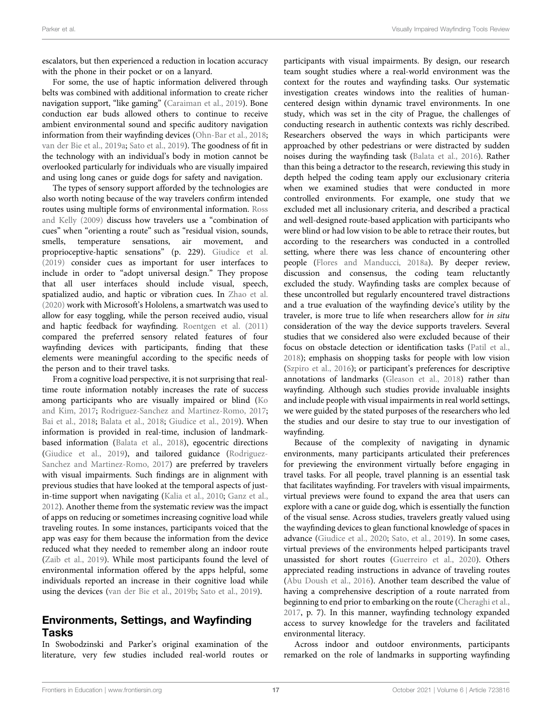escalators, but then experienced a reduction in location accuracy with the phone in their pocket or on a lanyard.

For some, the use of haptic information delivered through belts was combined with additional information to create richer navigation support, "like gaming" [\(Caraiman et al., 2019\)](#page-22-21). Bone conduction ear buds allowed others to continue to receive ambient environmental sound and specific auditory navigation information from their wayfinding devices ([Ohn-Bar et al., 2018](#page-23-19); [van der Bie et al., 2019a](#page-23-24); [Sato et al., 2019\)](#page-23-23). The goodness of fit in the technology with an individual's body in motion cannot be overlooked particularly for individuals who are visually impaired and using long canes or guide dogs for safety and navigation.

The types of sensory support afforded by the technologies are also worth noting because of the way travelers confirm intended routes using multiple forms of environmental information. [Ross](#page-23-31) [and Kelly \(2009\)](#page-23-31) discuss how travelers use a "combination of cues" when "orienting a route" such as "residual vision, sounds, smells, temperature sensations, air movement, and proprioceptive-haptic sensations" (p. 229). [Giudice et al.](#page-22-25) [\(2019\)](#page-22-25) consider cues as important for user interfaces to include in order to "adopt universal design." They propose that all user interfaces should include visual, speech, spatialized audio, and haptic or vibration cues. In [Zhao et al.](#page-24-10) [\(2020\)](#page-24-10) work with Microsoft's Hololens, a smartwatch was used to allow for easy toggling, while the person received audio, visual and haptic feedback for wayfinding. [Roentgen et al. \(2011\)](#page-23-32) compared the preferred sensory related features of four wayfinding devices with participants, finding that these elements were meaningful according to the specific needs of the person and to their travel tasks.

From a cognitive load perspective, it is not surprising that realtime route information notably increases the rate of success among participants who are visually impaired or blind [\(Ko](#page-22-30) [and Kim, 2017](#page-22-30); [Rodriguez-Sanchez and Martinez-Romo, 2017](#page-23-20); [Bai et al., 2018;](#page-22-17) [Balata et al., 2018;](#page-22-20) [Giudice et al., 2019](#page-22-25)). When information is provided in real-time, inclusion of landmarkbased information ([Balata et al., 2018](#page-22-20)), egocentric directions ([Giudice et al., 2019](#page-22-25)), and tailored guidance [\(Rodriguez-](#page-23-20)[Sanchez and Martinez-Romo, 2017\)](#page-23-20) are preferred by travelers with visual impairments. Such findings are in alignment with previous studies that have looked at the temporal aspects of justin-time support when navigating [\(Kalia et al., 2010;](#page-22-32) [Ganz et al.,](#page-22-10) [2012](#page-22-10)). Another theme from the systematic review was the impact of apps on reducing or sometimes increasing cognitive load while traveling routes. In some instances, participants voiced that the app was easy for them because the information from the device reduced what they needed to remember along an indoor route ([Zaib et al., 2019](#page-24-9)). While most participants found the level of environmental information offered by the apps helpful, some individuals reported an increase in their cognitive load while using the devices [\(van der Bie et al., 2019b](#page-24-6); [Sato et al., 2019\)](#page-23-23).

# Environments, Settings, and Wayfinding Tasks

In Swobodzinski and Parker's original examination of the literature, very few studies included real-world routes or participants with visual impairments. By design, our research team sought studies where a real-world environment was the context for the routes and wayfinding tasks. Our systematic investigation creates windows into the realities of humancentered design within dynamic travel environments. In one study, which was set in the city of Prague, the challenges of conducting research in authentic contexts was richly described. Researchers observed the ways in which participants were approached by other pedestrians or were distracted by sudden noises during the wayfinding task [\(Balata et al., 2016\)](#page-22-19). Rather than this being a detractor to the research, reviewing this study in depth helped the coding team apply our exclusionary criteria when we examined studies that were conducted in more controlled environments. For example, one study that we excluded met all inclusionary criteria, and described a practical and well-designed route-based application with participants who were blind or had low vision to be able to retrace their routes, but according to the researchers was conducted in a controlled setting, where there was less chance of encountering other people [\(Flores and Manducci, 2018a\)](#page-22-33). By deeper review, discussion and consensus, the coding team reluctantly excluded the study. Wayfinding tasks are complex because of these uncontrolled but regularly encountered travel distractions and a true evaluation of the wayfinding device's utility by the traveler, is more true to life when researchers allow for in situ consideration of the way the device supports travelers. Several studies that we considered also were excluded because of their focus on obstacle detection or identification tasks ([Patil et al.,](#page-23-33) [2018](#page-23-33)); emphasis on shopping tasks for people with low vision [\(Szpiro et al., 2016\)](#page-23-34); or participant's preferences for descriptive annotations of landmarks [\(Gleason et al., 2018\)](#page-22-34) rather than wayfinding. Although such studies provide invaluable insights and include people with visual impairments in real world settings, we were guided by the stated purposes of the researchers who led the studies and our desire to stay true to our investigation of wayfinding.

Because of the complexity of navigating in dynamic environments, many participants articulated their preferences for previewing the environment virtually before engaging in travel tasks. For all people, travel planning is an essential task that facilitates wayfinding. For travelers with visual impairments, virtual previews were found to expand the area that users can explore with a cane or guide dog, which is essentially the function of the visual sense. Across studies, travelers greatly valued using the wayfinding devices to glean functional knowledge of spaces in advance [\(Giudice et al., 2020;](#page-22-26) [Sato, et al., 2019](#page-23-23)). In some cases, virtual previews of the environments helped participants travel unassisted for short routes [\(Guerreiro et al., 2020](#page-22-28)). Others appreciated reading instructions in advance of traveling routes [\(Abu Doush et al., 2016\)](#page-21-5). Another team described the value of having a comprehensive description of a route narrated from beginning to end prior to embarking on the route [\(Cheraghi et al.,](#page-22-22) [2017](#page-22-22), p. 7). In this manner, wayfinding technology expanded access to survey knowledge for the travelers and facilitated environmental literacy.

Across indoor and outdoor environments, participants remarked on the role of landmarks in supporting wayfinding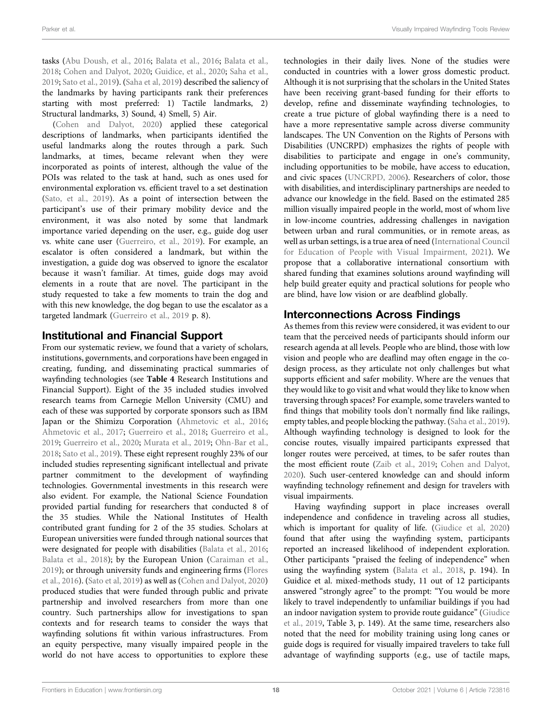tasks [\(Abu Doush, et al., 2016](#page-21-5); [Balata et al., 2016;](#page-22-19) [Balata et al.,](#page-22-20) [2018](#page-22-20); [Cohen and Dalyot, 2020](#page-22-24); [Guidice, et al., 2020](#page-22-26); [Saha et al.,](#page-23-22) [2019](#page-23-22); [Sato et al., 2019](#page-23-23)). ([Saha et al, 2019](#page-23-22)) described the saliency of the landmarks by having participants rank their preferences starting with most preferred: 1) Tactile landmarks, 2) Structural landmarks, 3) Sound, 4) Smell, 5) Air.

[\(Cohen and Dalyot, 2020\)](#page-22-24) applied these categorical descriptions of landmarks, when participants identified the useful landmarks along the routes through a park. Such landmarks, at times, became relevant when they were incorporated as points of interest, although the value of the POIs was related to the task at hand, such as ones used for environmental exploration vs. efficient travel to a set destination ([Sato, et al., 2019](#page-23-23)). As a point of intersection between the participant's use of their primary mobility device and the environment, it was also noted by some that landmark importance varied depending on the user, e.g., guide dog user vs. white cane user ([Guerreiro, et al., 2019\)](#page-22-13). For example, an escalator is often considered a landmark, but within the investigation, a guide dog was observed to ignore the escalator because it wasn't familiar. At times, guide dogs may avoid elements in a route that are novel. The participant in the study requested to take a few moments to train the dog and with this new knowledge, the dog began to use the escalator as a targeted landmark ([Guerreiro et al., 2019](#page-22-13) p. 8).

## Institutional and Financial Support

From our systematic review, we found that a variety of scholars, institutions, governments, and corporations have been engaged in creating, funding, and disseminating practical summaries of wayfinding technologies (see [Table 4](#page-16-0) Research Institutions and Financial Support). Eight of the 35 included studies involved research teams from Carnegie Mellon University (CMU) and each of these was supported by corporate sponsors such as IBM Japan or the Shimizu Corporation [\(Ahmetovic et al., 2016](#page-21-6); [Ahmetovic et al., 2017](#page-21-7); [Guerreiro et al., 2018;](#page-22-27) [Guerreiro et al.,](#page-22-13) [2019](#page-22-13); [Guerreiro et al., 2020;](#page-22-28) [Murata et al., 2019](#page-23-16); [Ohn-Bar et al.,](#page-23-19) [2018](#page-23-19); [Sato et al., 2019](#page-23-23)). These eight represent roughly 23% of our included studies representing significant intellectual and private partner commitment to the development of wayfinding technologies. Governmental investments in this research were also evident. For example, the National Science Foundation provided partial funding for researchers that conducted 8 of the 35 studies. While the National Institutes of Health contributed grant funding for 2 of the 35 studies. Scholars at European universities were funded through national sources that were designated for people with disabilities [\(Balata et al., 2016](#page-22-19); [Balata et al., 2018](#page-22-20)); by the European Union [\(Caraiman et al.,](#page-22-21) [2019](#page-22-21)); or through university funds and engineering firms [\(Flores](#page-24-4) [et al., 2016\)](#page-24-4). [\(Sato et al, 2019\)](#page-23-23) as well as [\(Cohen and Dalyot, 2020\)](#page-22-24) produced studies that were funded through public and private partnership and involved researchers from more than one country. Such partnerships allow for investigations to span contexts and for research teams to consider the ways that wayfinding solutions fit within various infrastructures. From an equity perspective, many visually impaired people in the world do not have access to opportunities to explore these

technologies in their daily lives. None of the studies were conducted in countries with a lower gross domestic product. Although it is not surprising that the scholars in the United States have been receiving grant-based funding for their efforts to develop, refine and disseminate wayfinding technologies, to create a true picture of global wayfinding there is a need to have a more representative sample across diverse community landscapes. The UN Convention on the Rights of Persons with Disabilities (UNCRPD) emphasizes the rights of people with disabilities to participate and engage in one's community, including opportunities to be mobile, have access to education, and civic spaces [\(UNCRPD, 2006](#page-23-35)). Researchers of color, those with disabilities, and interdisciplinary partnerships are needed to advance our knowledge in the field. Based on the estimated 285 million visually impaired people in the world, most of whom live in low-income countries, addressing challenges in navigation between urban and rural communities, or in remote areas, as well as urban settings, is a true area of need ([International Council](#page-22-35) [for Education of People with Visual Impairment, 2021\)](#page-22-35). We propose that a collaborative international consortium with shared funding that examines solutions around wayfinding will help build greater equity and practical solutions for people who are blind, have low vision or are deafblind globally.

# Interconnections Across Findings

As themes from this review were considered, it was evident to our team that the perceived needs of participants should inform our research agenda at all levels. People who are blind, those with low vision and people who are deaflind may often engage in the codesign process, as they articulate not only challenges but what supports efficient and safer mobility. Where are the venues that they would like to go visit and what would they like to know when traversing through spaces? For example, some travelers wanted to find things that mobility tools don't normally find like railings, empty tables, and people blocking the pathway. [\(Saha et al., 2019\)](#page-23-22). Although wayfinding technology is designed to look for the concise routes, visually impaired participants expressed that longer routes were perceived, at times, to be safer routes than the most efficient route [\(Zaib et al., 2019;](#page-24-9) [Cohen and Dalyot,](#page-22-24) [2020](#page-22-24)). Such user-centered knowledge can and should inform wayfinding technology refinement and design for travelers with visual impairments.

Having wayfinding support in place increases overall independence and confidence in traveling across all studies, which is important for quality of life. ([Giudice et al, 2020\)](#page-22-26) found that after using the wayfinding system, participants reported an increased likelihood of independent exploration. Other participants "praised the feeling of independence" when using the wayfinding system [\(Balata et al., 2018,](#page-22-20) p. 194). In Guidice et al. mixed-methods study, 11 out of 12 participants answered "strongly agree" to the prompt: "You would be more likely to travel independently to unfamiliar buildings if you had an indoor navigation system to provide route guidance" ([Giudice](#page-22-25) [et al., 2019,](#page-22-25) Table 3, p. 149). At the same time, researchers also noted that the need for mobility training using long canes or guide dogs is required for visually impaired travelers to take full advantage of wayfinding supports (e.g., use of tactile maps,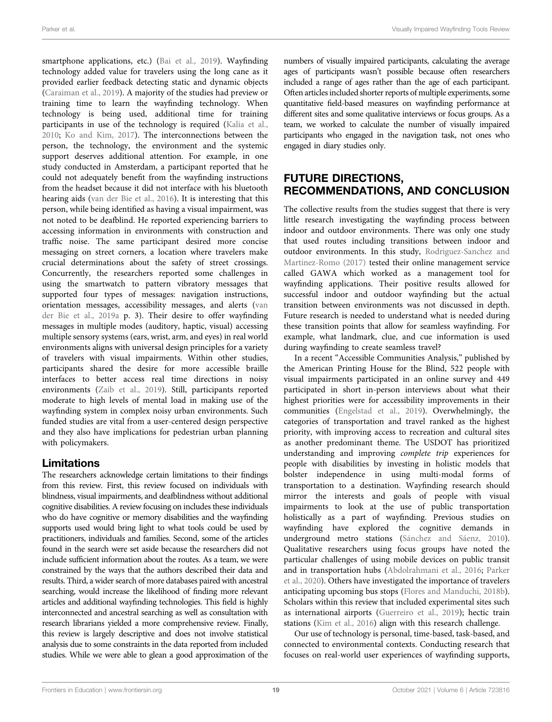smartphone applications, etc.) [\(Bai et al., 2019](#page-22-18)). Wayfinding technology added value for travelers using the long cane as it provided earlier feedback detecting static and dynamic objects ([Caraiman et al., 2019\)](#page-22-21). A majority of the studies had preview or training time to learn the wayfinding technology. When technology is being used, additional time for training participants in use of the technology is required [\(Kalia et al.,](#page-22-32) [2010](#page-22-32); [Ko and Kim, 2017](#page-22-30)). The interconnections between the person, the technology, the environment and the systemic support deserves additional attention. For example, in one study conducted in Amsterdam, a participant reported that he could not adequately benefit from the wayfinding instructions from the headset because it did not interface with his bluetooth hearing aids [\(van der Bie et al., 2016](#page-24-5)). It is interesting that this person, while being identified as having a visual impairment, was not noted to be deafblind. He reported experiencing barriers to accessing information in environments with construction and traffic noise. The same participant desired more concise messaging on street corners, a location where travelers make crucial determinations about the safety of street crossings. Concurrently, the researchers reported some challenges in using the smartwatch to pattern vibratory messages that supported four types of messages: navigation instructions, orientation messages, accessibility messages, and alerts ([van](#page-23-24) [der Bie et al., 2019a](#page-23-24) p. 3). Their desire to offer wayfinding messages in multiple modes (auditory, haptic, visual) accessing multiple sensory systems (ears, wrist, arm, and eyes) in real world environments aligns with universal design principles for a variety of travelers with visual impairments. Within other studies, participants shared the desire for more accessible braille interfaces to better access real time directions in noisy environments [\(Zaib et al., 2019](#page-24-9)). Still, participants reported moderate to high levels of mental load in making use of the wayfinding system in complex noisy urban environments. Such funded studies are vital from a user-centered design perspective and they also have implications for pedestrian urban planning with policymakers.

# Limitations

The researchers acknowledge certain limitations to their findings from this review. First, this review focused on individuals with blindness, visual impairments, and deafblindness without additional cognitive disabilities. A review focusing on includes these individuals who do have cognitive or memory disabilities and the wayfinding supports used would bring light to what tools could be used by practitioners, individuals and families. Second, some of the articles found in the search were set aside because the researchers did not include sufficient information about the routes. As a team, we were constrained by the ways that the authors described their data and results. Third, a wider search of more databases paired with ancestral searching, would increase the likelihood of finding more relevant articles and additional wayfinding technologies. This field is highly interconnected and ancestral searching as well as consultation with research librarians yielded a more comprehensive review. Finally, this review is largely descriptive and does not involve statistical analysis due to some constraints in the data reported from included studies. While we were able to glean a good approximation of the

numbers of visually impaired participants, calculating the average ages of participants wasn't possible because often researchers included a range of ages rather than the age of each participant. Often articles included shorter reports of multiple experiments, some quantitative field-based measures on wayfinding performance at different sites and some qualitative interviews or focus groups. As a team, we worked to calculate the number of visually impaired participants who engaged in the navigation task, not ones who engaged in diary studies only.

# FUTURE DIRECTIONS, RECOMMENDATIONS, AND CONCLUSION

The collective results from the studies suggest that there is very little research investigating the wayfinding process between indoor and outdoor environments. There was only one study that used routes including transitions between indoor and outdoor environments. In this study, [Rodriguez-Sanchez and](#page-23-20) [Martinez-Romo \(2017\)](#page-23-20) tested their online management service called GAWA which worked as a management tool for wayfinding applications. Their positive results allowed for successful indoor and outdoor wayfinding but the actual transition between environments was not discussed in depth. Future research is needed to understand what is needed during these transition points that allow for seamless wayfinding. For example, what landmark, clue, and cue information is used during wayfinding to create seamless travel?

In a recent "Accessible Communities Analysis," published by the American Printing House for the Blind, 522 people with visual impairments participated in an online survey and 449 participated in short in-person interviews about what their highest priorities were for accessibility improvements in their communities ([Engelstad et al., 2019\)](#page-22-36). Overwhelmingly, the categories of transportation and travel ranked as the highest priority, with improving access to recreation and cultural sites as another predominant theme. The USDOT has prioritized understanding and improving complete trip experiences for people with disabilities by investing in holistic models that bolster independence in using multi-modal forms of transportation to a destination. Wayfinding research should mirror the interests and goals of people with visual impairments to look at the use of public transportation holistically as a part of wayfinding. Previous studies on wayfinding have explored the cognitive demands in underground metro stations ([Sánchez and Sáenz, 2010\)](#page-23-36). Qualitative researchers using focus groups have noted the particular challenges of using mobile devices on public transit and in transportation hubs ([Abdolrahmani et al., 2016](#page-21-2); [Parker](#page-23-10) [et al., 2020](#page-23-10)). Others have investigated the importance of travelers anticipating upcoming bus stops ([Flores and Manduchi, 2018b\)](#page-22-37). Scholars within this review that included experimental sites such as international airports ([Guerreiro et al., 2019](#page-22-13)); hectic train stations ([Kim et al., 2016](#page-22-29)) align with this research challenge.

Our use of technology is personal, time-based, task-based, and connected to environmental contexts. Conducting research that focuses on real-world user experiences of wayfinding supports,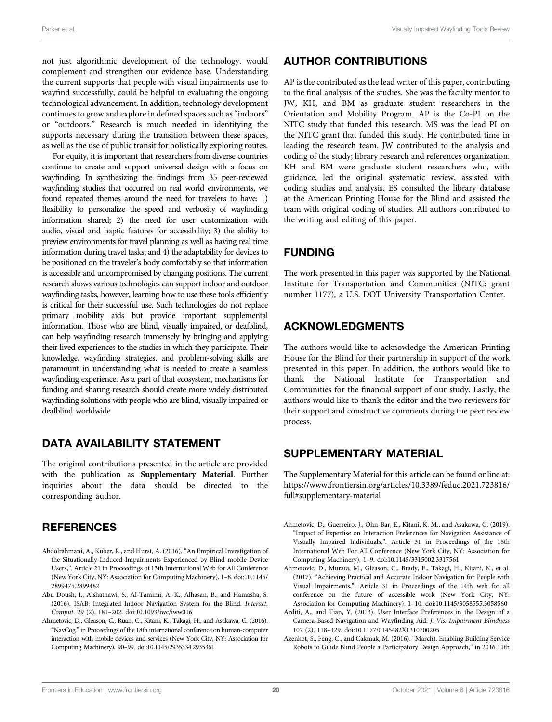not just algorithmic development of the technology, would complement and strengthen our evidence base. Understanding the current supports that people with visual impairments use to wayfind successfully, could be helpful in evaluating the ongoing technological advancement. In addition, technology development continues to grow and explore in defined spaces such as "indoors" or "outdoors." Research is much needed in identifying the supports necessary during the transition between these spaces, as well as the use of public transit for holistically exploring routes.

For equity, it is important that researchers from diverse countries continue to create and support universal design with a focus on wayfinding. In synthesizing the findings from 35 peer-reviewed wayfinding studies that occurred on real world environments, we found repeated themes around the need for travelers to have: 1) flexibility to personalize the speed and verbosity of wayfinding information shared; 2) the need for user customization with audio, visual and haptic features for accessibility; 3) the ability to preview environments for travel planning as well as having real time information during travel tasks; and 4) the adaptability for devices to be positioned on the traveler's body comfortably so that information is accessible and uncompromised by changing positions. The current research shows various technologies can support indoor and outdoor wayfinding tasks, however, learning how to use these tools efficiently is critical for their successful use. Such technologies do not replace primary mobility aids but provide important supplemental information. Those who are blind, visually impaired, or deafblind, can help wayfinding research immensely by bringing and applying their lived experiences to the studies in which they participate. Their knowledge, wayfinding strategies, and problem-solving skills are paramount in understanding what is needed to create a seamless wayfinding experience. As a part of that ecosystem, mechanisms for funding and sharing research should create more widely distributed wayfinding solutions with people who are blind, visually impaired or deafblind worldwide.

## DATA AVAILABILITY STATEMENT

The original contributions presented in the article are provided with the publication as [Supplementary Material](#page-21-4). Further inquiries about the data should be directed to the corresponding author.

## **REFERENCES**

- <span id="page-21-2"></span>Abdolrahmani, A., Kuber, R., and Hurst, A. (2016). "An Empirical Investigation of the Situationally-Induced Impairments Experienced by Blind mobile Device Users,". Article 21 in Proceedings of 13th International Web for All Conference (New York City, NY: Association for Computing Machinery), 1–8. doi:[10.1145/](https://doi.org/10.1145/2899475.2899482) [2899475.2899482](https://doi.org/10.1145/2899475.2899482)
- <span id="page-21-5"></span>Abu Doush, I., Alshatnawi, S., Al-Tamimi, A.-K., Alhasan, B., and Hamasha, S. (2016). ISAB: Integrated Indoor Navigation System for the Blind. Interact. Comput. 29 (2), 181–202. doi:[10.1093/iwc/iww016](https://doi.org/10.1093/iwc/iww016)
- <span id="page-21-6"></span>Ahmetovic, D., Gleason, C., Ruan, C., Kitani, K., Takagi, H., and Asakawa, C. (2016). "NavCog,"in Proceedings of the 18th international conference on human-computer interaction with mobile devices and services (New York City, NY: Association for Computing Machinery), 90–99. doi:[10.1145/2935334.2935361](https://doi.org/10.1145/2935334.2935361)

# AUTHOR CONTRIBUTIONS

AP is the contributed as the lead writer of this paper, contributing to the final analysis of the studies. She was the faculty mentor to JW, KH, and BM as graduate student researchers in the Orientation and Mobility Program. AP is the Co-PI on the NITC study that funded this research. MS was the lead PI on the NITC grant that funded this study. He contributed time in leading the research team. JW contributed to the analysis and coding of the study; library research and references organization. KH and BM were graduate student researchers who, with guidance, led the original systematic review, assisted with coding studies and analysis. ES consulted the library database at the American Printing House for the Blind and assisted the team with original coding of studies. All authors contributed to the writing and editing of this paper.

# FUNDING

The work presented in this paper was supported by the National Institute for Transportation and Communities (NITC; grant number 1177), a U.S. DOT University Transportation Center.

# ACKNOWLEDGMENTS

The authors would like to acknowledge the American Printing House for the Blind for their partnership in support of the work presented in this paper. In addition, the authors would like to thank the National Institute for Transportation and Communities for the financial support of our study. Lastly, the authors would like to thank the editor and the two reviewers for their support and constructive comments during the peer review process.

## <span id="page-21-4"></span>SUPPLEMENTARY MATERIAL

The Supplementary Material for this article can be found online at: [https://www.frontiersin.org/articles/10.3389/feduc.2021.723816/](https://www.frontiersin.org/articles/10.3389/feduc.2021.723816/full#supplementary-material) [full#supplementary-material](https://www.frontiersin.org/articles/10.3389/feduc.2021.723816/full#supplementary-material)

- <span id="page-21-0"></span>Ahmetovic, D., Guerreiro, J., Ohn-Bar, E., Kitani, K. M., and Asakawa, C. (2019). "Impact of Expertise on Interaction Preferences for Navigation Assistance of Visually Impaired Individuals,". Article 31 in Proceedings of the 16th International Web For All Conference (New York City, NY: Association for Computing Machinery), 1–9. doi[:10.1145/3315002.3317561](https://doi.org/10.1145/3315002.3317561)
- <span id="page-21-7"></span>Ahmetovic, D., Murata, M., Gleason, C., Brady, E., Takagi, H., Kitani, K., et al. (2017). "Achieving Practical and Accurate Indoor Navigation for People with Visual Impairments,". Article 31 in Proceedings of the 14th web for all conference on the future of accessible work (New York City, NY: Association for Computing Machinery), 1–10. doi:[10.1145/3058555.3058560](https://doi.org/10.1145/3058555.3058560)
- <span id="page-21-1"></span>Arditi, A., and Tian, Y. (2013). User Interface Preferences in the Design of a Camera-Based Navigation and Wayfinding Aid. J. Vis. Impairment Blindness 107 (2), 118–129. doi:[10.1177/0145482X1310700205](https://doi.org/10.1177/0145482X1310700205)
- <span id="page-21-3"></span>Azenkot, S., Feng, C., and Cakmak, M. (2016). "March). Enabling Building Service Robots to Guide Blind People a Participatory Design Approach," in 2016 11th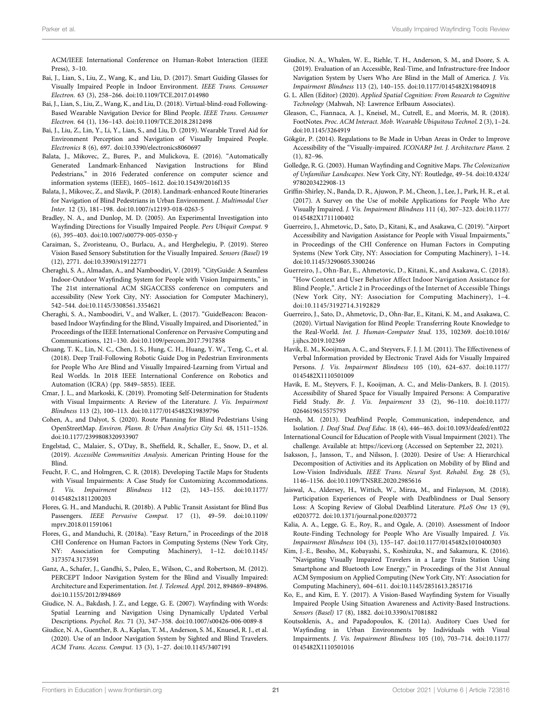ACM/IEEE International Conference on Human-Robot Interaction (IEEE Press), 3–10.

- <span id="page-22-16"></span>Bai, J., Lian, S., Liu, Z., Wang, K., and Liu, D. (2017). Smart Guiding Glasses for Visually Impaired People in Indoor Environment. IEEE Trans. Consumer Electron. 63 (3), 258–266. doi:[10.1109/TCE.2017.014980](https://doi.org/10.1109/TCE.2017.014980)
- <span id="page-22-17"></span>Bai, J., Lian, S., Liu, Z., Wang, K., and Liu, D. (2018). Virtual-blind-road Following-Based Wearable Navigation Device for Blind People. IEEE Trans. Consumer Electron. 64 (1), 136–143. doi:[10.1109/TCE.2018.2812498](https://doi.org/10.1109/TCE.2018.2812498)
- <span id="page-22-18"></span>Bai, J., Liu, Z., Lin, Y., Li, Y., Lian, S., and Liu, D. (2019). Wearable Travel Aid for Environment Perception and Navigation of Visually Impaired People. Electronics 8 (6), 697. doi[:10.3390/electronics8060697](https://doi.org/10.3390/electronics8060697)
- <span id="page-22-19"></span>Balata, J., Mikovec, Z., Bures, P., and Mulickova, E. (2016). "Automatically Generated Landmark-Enhanced Navigation Instructions for Blind Pedestrians," in 2016 Federated conference on computer science and information systems (IEEE), 1605–1612. doi:[10.15439/2016f135](https://doi.org/10.15439/2016f135)
- <span id="page-22-20"></span>Balata, J., Mikovec, Z., and Slavik, P. (2018). Landmark-enhanced Route Itineraries for Navigation of Blind Pedestrians in Urban Environment. J. Multimodal User Inter. 12 (3), 181–198. doi[:10.1007/s12193-018-0263-5](https://doi.org/10.1007/s12193-018-0263-5)
- <span id="page-22-3"></span>Bradley, N. A., and Dunlop, M. D. (2005). An Experimental Investigation into Wayfinding Directions for Visually Impaired People. Pers Ubiquit Comput. 9 (6), 395–403. doi:[10.1007/s00779-005-0350-y](https://doi.org/10.1007/s00779-005-0350-y)
- <span id="page-22-21"></span>Caraiman, S., Zvoristeanu, O., Burlacu, A., and Herghelegiu, P. (2019). Stereo Vision Based Sensory Substitution for the Visually Impaired. Sensors (Basel) 19 (12), 2771. doi[:10.3390/s19122771](https://doi.org/10.3390/s19122771)
- <span id="page-22-23"></span>Cheraghi, S. A., Almadan, A., and Namboodiri, V. (2019). "CityGuide: A Seamless Indoor-Outdoor Wayfinding System for People with Vision Impairments," in The 21st international ACM SIGACCESS conference on computers and accessibility (New York City, NY: Association for Computer Machinery), 542–544. doi:[10.1145/3308561.3354621](https://doi.org/10.1145/3308561.3354621)
- <span id="page-22-22"></span>Cheraghi, S. A., Namboodiri, V., and Walker, L. (2017). "GuideBeacon: Beaconbased Indoor Wayfinding for the Blind, Visually Impaired, and Disoriented," in Proceedings of the IEEE International Conference on Pervasive Computing and Communications, 121–130. doi:[10.1109/percom.2017.7917858](https://doi.org/10.1109/percom.2017.7917858)
- <span id="page-22-14"></span>Chuang, T. K., Lin, N. C., Chen, J. S., Hung, C. H., Huang, Y. W., Teng, C., et al. (2018). Deep Trail-Following Robotic Guide Dog in Pedestrian Environments for People Who Are Blind and Visually Impaired-Learning from Virtual and Real Worlds. In 2018 IEEE International Conference on Robotics and Automation (ICRA) (pp. 5849–5855). IEEE.
- <span id="page-22-12"></span>Cmar, J. L., and Markoski, K. (2019). Promoting Self-Determination for Students with Visual Impairments: A Review of the Literature. J. Vis. Impairment Blindness 113 (2), 100–113. doi[:10.1177/0145482X19839796](https://doi.org/10.1177/0145482X19839796)
- <span id="page-22-24"></span>Cohen, A., and Dalyot, S. (2020). Route Planning for Blind Pedestrians Using OpenStreetMap. Environ. Plann. B: Urban Analytics City Sci. 48, 1511–1526. doi:[10.1177/2399808320933907](https://doi.org/10.1177/2399808320933907)
- <span id="page-22-36"></span>Engelstad, C., Malaier, S., O'Day, B., Sheffield, R., Schaller, E., Snow, D., et al. (2019). Accessible Communities Analysis. American Printing House for the Blind.
- <span id="page-22-15"></span>Feucht, F. C., and Holmgren, C. R. (2018). Developing Tactile Maps for Students with Visual Impairments: A Case Study for Customizing Accommodations. J. Vis. Impairment Blindness 112 (2), 143–155. doi:[10.1177/](https://doi.org/10.1177/0145482x1811200203) [0145482x1811200203](https://doi.org/10.1177/0145482x1811200203)
- <span id="page-22-37"></span>Flores, G. H., and Manduchi, R. (2018b). A Public Transit Assistant for Blind Bus Passengers. IEEE Pervasive Comput. 17 (1), 49–59. doi:[10.1109/](https://doi.org/10.1109/mprv.2018.011591061) [mprv.2018.011591061](https://doi.org/10.1109/mprv.2018.011591061)
- <span id="page-22-33"></span>Flores, G., and Manduchi, R. (2018a). "Easy Return," in Proceedings of the 2018 CHI Conference on Human Factors in Computing Systems (New York City, NY: Association for Computing Machinery), 1–12. doi:[10.1145/](https://doi.org/10.1145/3173574.3173591) [3173574.3173591](https://doi.org/10.1145/3173574.3173591)
- <span id="page-22-10"></span>Ganz, A., Schafer, J., Gandhi, S., Puleo, E., Wilson, C., and Robertson, M. (2012). PERCEPT Indoor Navigation System for the Blind and Visually Impaired: Architecture and Experimentation. Int. J. Telemed. Appl. 2012, 894869–894896. doi:[10.1155/2012/894869](https://doi.org/10.1155/2012/894869)
- <span id="page-22-4"></span>Giudice, N. A., Bakdash, J. Z., and Legge, G. E. (2007). Wayfinding with Words: Spatial Learning and Navigation Using Dynamically Updated Verbal Descriptions. Psychol. Res. 71 (3), 347–358. doi[:10.1007/s00426-006-0089-8](https://doi.org/10.1007/s00426-006-0089-8)
- <span id="page-22-26"></span>Giudice, N. A., Guenther, B. A., Kaplan, T. M., Anderson, S. M., Knuesel, R. J., et al. (2020). Use of an Indoor Navigation System by Sighted and Blind Travelers. ACM Trans. Access. Comput. 13 (3), 1–27. doi:[10.1145/3407191](https://doi.org/10.1145/3407191)
- <span id="page-22-25"></span>Giudice, N. A., Whalen, W. E., Riehle, T. H., Anderson, S. M., and Doore, S. A. (2019). Evaluation of an Accessible, Real-Time, and Infrastructure-free Indoor Navigation System by Users Who Are Blind in the Mall of America. J. Vis. Impairment Blindness 113 (2), 140–155. doi:[10.1177/0145482X19840918](https://doi.org/10.1177/0145482X19840918)
- <span id="page-22-0"></span>G. L. Allen (Editor) (2020). Applied Spatial Cognition: From Research to Cognitive Technology (Mahwah, NJ: Lawrence Erlbaum Associates).
- <span id="page-22-34"></span>Gleason, C., Fiannaca, A. J., Kneisel, M., Cutrell, E., and Morris, M. R. (2018). FootNotes. Proc. ACM Interact. Mob. Wearable Ubiquitous Technol. 2 (3), 1–24. doi[:10.1145/3264919](https://doi.org/10.1145/3264919)
- <span id="page-22-6"></span>Gökgür, P. (2014). Regulations to Be Made in Urban Areas in Order to Improve Accessibility of the "Visually-impaired. ICONARP Int. J. Architecture Plann. 2 (1), 82–96.
- <span id="page-22-1"></span>Golledge, R. G. (2003). Human Wayfinding and Cognitive Maps. The Colonization of Unfamiliar Landscapes. New York City, NY: Routledge, 49–54. doi[:10.4324/](https://doi.org/10.4324/9780203422908-13) [9780203422908-13](https://doi.org/10.4324/9780203422908-13)
- <span id="page-22-8"></span>Griffin-Shirley, N., Banda, D. R., Ajuwon, P. M., Cheon, J., Lee, J., Park, H. R., et al. (2017). A Survey on the Use of mobile Applications for People Who Are Visually Impaired. J. Vis. Impairment Blindness 111 (4), 307–323. doi[:10.1177/](https://doi.org/10.1177/0145482X1711100402) [0145482X1711100402](https://doi.org/10.1177/0145482X1711100402)
- <span id="page-22-13"></span>Guerreiro, J., Ahmetovic, D., Sato, D., Kitani, K., and Asakawa, C. (2019). "Airport Accessibility and Navigation Assistance for People with Visual Impairments," in Proceedings of the CHI Conference on Human Factors in Computing Systems (New York City, NY: Association for Computing Machinery), 1–14. doi[:10.1145/3290605.3300246](https://doi.org/10.1145/3290605.3300246)
- <span id="page-22-27"></span>Guerreiro, J., Ohn-Bar, E., Ahmetovic, D., Kitani, K., and Asakawa, C. (2018). "How Context and User Behavior Affect Indoor Navigation Assistance for Blind People,". Article 2 in Proceedings of the Internet of Accessible Things (New York City, NY: Association for Computing Machinery), 1–4. doi:[10.1145/3192714.3192829](https://doi.org/10.1145/3192714.3192829)
- <span id="page-22-28"></span>Guerreiro, J., Sato, D., Ahmetovic, D., Ohn-Bar, E., Kitani, K. M., and Asakawa, C. (2020). Virtual Navigation for Blind People: Transferring Route Knowledge to the Real-World. Int. J. Human-Computer Stud. 135, 102369. doi[:10.1016/](https://doi.org/10.1016/j.ijhcs.2019.102369) [j.ijhcs.2019.102369](https://doi.org/10.1016/j.ijhcs.2019.102369)
- <span id="page-22-5"></span>Havik, E. M., Kooijman, A. C., and Steyvers, F. J. J. M. (2011). The Effectiveness of Verbal Information provided by Electronic Travel Aids for Visually Impaired Persons. J. Vis. Impairment Blindness 105 (10), 624–637. doi[:10.1177/](https://doi.org/10.1177/0145482X1110501009) [0145482X1110501009](https://doi.org/10.1177/0145482X1110501009)
- <span id="page-22-7"></span>Havik, E. M., Steyvers, F. J., Kooijman, A. C., and Melis-Dankers, B. J. (2015). Accessibility of Shared Space for Visually Impaired Persons: A Comparative Field Study. Br. J. Vis. Impairment 33 (2), 96–110. doi[:10.1177/](https://doi.org/10.1177/0264619615575793) [0264619615575793](https://doi.org/10.1177/0264619615575793)
- <span id="page-22-9"></span>Hersh, M. (2013). Deafblind People, Communication, independence, and Isolation. J. Deaf Stud. Deaf Educ. 18 (4), 446–463. doi[:10.1093/deafed/ent022](https://doi.org/10.1093/deafed/ent022)
- <span id="page-22-35"></span>International Council for Education of People with Visual Impairment (2021). The challenge. Available at:<https://icevi.org> (Accessed on September 22, 2021).
- <span id="page-22-11"></span>Isaksson, J., Jansson, T., and Nilsson, J. (2020). Desire of Use: A Hierarchical Decomposition of Activities and its Application on Mobility of by Blind and Low-Vision Individuals. IEEE Trans. Neural Syst. Rehabil. Eng. 28 (5), 1146–1156. doi:[10.1109/TNSRE.2020.2985616](https://doi.org/10.1109/TNSRE.2020.2985616)
- <span id="page-22-31"></span>Jaiswal, A., Aldersey, H., Wittich, W., Mirza, M., and Finlayson, M. (2018). Participation Experiences of People with Deafblindness or Dual Sensory Loss: A Scoping Review of Global Deafblind Literature. PLoS One 13 (9), e0203772. doi:[10.1371/journal.pone.0203772](https://doi.org/10.1371/journal.pone.0203772)
- <span id="page-22-32"></span>Kalia, A. A., Legge, G. E., Roy, R., and Ogale, A. (2010). Assessment of Indoor Route-Finding Technology for People Who Are Visually Impaired. J. Vis. Impairment Blindness 104 (3), 135–147. doi:[10.1177/0145482x1010400303](https://doi.org/10.1177/0145482x1010400303)
- <span id="page-22-29"></span>Kim, J.-E., Bessho, M., Kobayashi, S., Koshizuka, N., and Sakamura, K. (2016). "Navigating Visually Impaired Travelers in a Large Train Station Using Smartphone and Bluetooth Low Energy," in Proceedings of the 31st Annual ACM Symposium on Applied Computing (New York City, NY: Association for Computing Machinery), 604–611. doi[:10.1145/2851613.2851716](https://doi.org/10.1145/2851613.2851716)
- <span id="page-22-30"></span>Ko, E., and Kim, E. Y. (2017). A Vision-Based Wayfinding System for Visually Impaired People Using Situation Awareness and Activity-Based Instructions. Sensors (Basel) 17 (8), 1882. doi:[10.3390/s17081882](https://doi.org/10.3390/s17081882)
- <span id="page-22-2"></span>Koutsoklenis, A., and Papadopoulos, K. (2011a). Auditory Cues Used for Wayfinding in Urban Environments by Individuals with Visual Impairments. J. Vis. Impairment Blindness 105 (10), 703–714. doi[:10.1177/](https://doi.org/10.1177/0145482X1110501016) [0145482X1110501016](https://doi.org/10.1177/0145482X1110501016)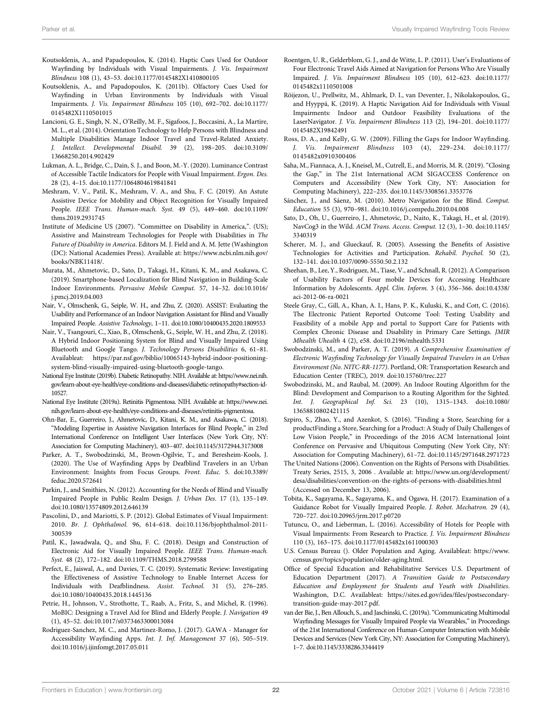- <span id="page-23-4"></span>Koutsoklenis, A., and Papadopoulos, K. (2014). Haptic Cues Used for Outdoor Wayfinding by Individuals with Visual Impairments. J. Vis. Impairment Blindness 108 (1), 43–53. doi[:10.1177/0145482X1410800105](https://doi.org/10.1177/0145482X1410800105)
- <span id="page-23-6"></span>Koutsoklenis, A., and Papadopoulos, K. (2011b). Olfactory Cues Used for Wayfinding in Urban Environments by Individuals with Visual Impairments. J. Vis. Impairment Blindness 105 (10), 692–702. doi:[10.1177/](https://doi.org/10.1177/0145482X1110501015) [0145482X1110501015](https://doi.org/10.1177/0145482X1110501015)
- <span id="page-23-9"></span>Lancioni, G. E., Singh, N. N., O'Reilly, M. F., Sigafoos, J., Boccasini, A., La Martire, M. L., et al. (2014). Orientation Technology to Help Persons with Blindness and Multiple Disabilities Manage Indoor Travel and Travel-Related Anxiety. J. Intellect. Developmental Disabil. 39 (2), 198–205. doi:[10.3109/](https://doi.org/10.3109/13668250.2014.902429) [13668250.2014.902429](https://doi.org/10.3109/13668250.2014.902429)
- <span id="page-23-7"></span>Lukman, A. L., Bridge, C., Dain, S. J., and Boon, M.-Y. (2020). Luminance Contrast of Accessible Tactile Indicators for People with Visual Impairment. Ergon. Des. 28 (2), 4–15. doi:[10.1177/1064804619841841](https://doi.org/10.1177/1064804619841841)
- <span id="page-23-14"></span>Meshram, V. V., Patil, K., Meshram, V. A., and Shu, F. C. (2019). An Astute Assistive Device for Mobility and Object Recognition for Visually Impaired People. IEEE Trans. Human-mach. Syst. 49 (5), 449–460. doi:[10.1109/](https://doi.org/10.1109/thms.2019.2931745) [thms.2019.2931745](https://doi.org/10.1109/thms.2019.2931745)
- <span id="page-23-3"></span>Institute of Medicine US (2007). "Committee on Disability in America,". (US); Assistive and Mainstream Technologies for People with Disabilities in The Future of Disability in America. Editors M. J. Field and A. M. Jette (Washington (DC): National Academies Press). Available at: [https://www.ncbi.nlm.nih.gov/](https://www.ncbi.nlm.nih.gov/books/NBK11418/) [books/NBK11418/.](https://www.ncbi.nlm.nih.gov/books/NBK11418/)
- <span id="page-23-16"></span>Murata, M., Ahmetovic, D., Sato, D., Takagi, H., Kitani, K. M., and Asakawa, C. (2019). Smartphone-based Localization for Blind Navigation in Building-Scale Indoor Environments. Pervasive Mobile Comput. 57, 14–32. doi:[10.1016/](https://doi.org/10.1016/j.pmcj.2019.04.003) [j.pmcj.2019.04.003](https://doi.org/10.1016/j.pmcj.2019.04.003)
- <span id="page-23-18"></span>Nair, V., Olmschenk, G., Seiple, W. H., and Zhu, Z. (2020). ASSIST: Evaluating the Usability and Performance of an Indoor Navigation Assistant for Blind and Visually Impaired People. Assistive Technology, 1–11. doi[:10.1080/10400435.2020.1809553](https://doi.org/10.1080/10400435.2020.1809553)
- <span id="page-23-17"></span>Nair, V., Tsangouri, C., Xiao, B., Olmschenk, G., Seiple, W. H., and Zhu, Z. (2018). A Hybrid Indoor Positioning System for Blind and Visually Impaired Using Bluetooth and Google Tango. J. Technology Persons Disabilities 6, 61–81. Availableat: [https://par.nsf.gov/biblio/10065143-hybrid-indoor-positioning](https://par.nsf.gov/biblio/10065143-hybrid-indoor-positioning-system-blind-visually-impaired-using-bluetooth-google-tango)[system-blind-visually-impaired-using-bluetooth-google-tango.](https://par.nsf.gov/biblio/10065143-hybrid-indoor-positioning-system-blind-visually-impaired-using-bluetooth-google-tango)
- <span id="page-23-27"></span>National Eye Institute (2019b). Diabetic Retinopathy. NIH. Available at: [https://www.nei.nih.](https://www.nei.nih.gov/learn-about-eye-health/eye-conditions-and-diseases/diabetic-retinopathy#section-id-10527) [gov/learn-about-eye-health/eye-conditions-and-diseases/diabetic-retinopathy#section-id-](https://www.nei.nih.gov/learn-about-eye-health/eye-conditions-and-diseases/diabetic-retinopathy#section-id-10527)[10527](https://www.nei.nih.gov/learn-about-eye-health/eye-conditions-and-diseases/diabetic-retinopathy#section-id-10527).
- <span id="page-23-26"></span>National Eye Institute (2019a). Retinitis Pigmentosa. NIH. Available at: [https://www.nei.](https://www.nei.nih.gov/learn-about-eye-health/eye-conditions-and-diseases/retinitis-pigmentosa) [nih.gov/learn-about-eye-health/eye-conditions-and-diseases/retinitis-pigmentosa](https://www.nei.nih.gov/learn-about-eye-health/eye-conditions-and-diseases/retinitis-pigmentosa).
- <span id="page-23-19"></span>Ohn-Bar, E., Guerreiro, J., Ahmetovic, D., Kitani, K. M., and Asakawa, C. (2018). "Modeling Expertise in Assistive Navigation Interfaces for Blind People," in 23rd International Conference on Intelligent User Interfaces (New York City, NY: Association for Computing Machinery), 403–407. doi[:10.1145/3172944.3173008](https://doi.org/10.1145/3172944.3173008)
- <span id="page-23-10"></span>Parker, A. T., Swobodzinski, M., Brown-Ogilvie, T., and Beresheim-Kools, J. (2020). The Use of Wayfinding Apps by Deafblind Travelers in an Urban Environment: Insights from Focus Groups. Front. Educ. 5. doi:[10.3389/](https://doi.org/10.3389/feduc.2020.572641) [feduc.2020.572641](https://doi.org/10.3389/feduc.2020.572641)
- <span id="page-23-5"></span>Parkin, J., and Smithies, N. (2012). Accounting for the Needs of Blind and Visually Impaired People in Public Realm Design. J. Urban Des. 17 (1), 135–149. doi:[10.1080/13574809.2012.646139](https://doi.org/10.1080/13574809.2012.646139)
- <span id="page-23-2"></span>Pascolini, D., and Mariotti, S. P. (2012). Global Estimates of Visual Impairment: 2010. Br. J. Ophthalmol. 96, 614–618. doi[:10.1136/bjophthalmol-2011-](https://doi.org/10.1136/bjophthalmol-2011-300539) [300539](https://doi.org/10.1136/bjophthalmol-2011-300539)
- <span id="page-23-33"></span>Patil, K., Jawadwala, Q., and Shu, F. C. (2018). Design and Construction of Electronic Aid for Visually Impaired People. IEEE Trans. Human-mach. Syst. 48 (2), 172–182. doi[:10.1109/THMS.2018.2799588](https://doi.org/10.1109/THMS.2018.2799588)
- <span id="page-23-30"></span>Perfect, E., Jaiswal, A., and Davies, T. C. (2019). Systematic Review: Investigating the Effectiveness of Assistive Technology to Enable Internet Access for Individuals with Deafblindness. Assist. Technol. 31 (5), 276–285. doi:[10.1080/10400435.2018.1445136](https://doi.org/10.1080/10400435.2018.1445136)
- <span id="page-23-13"></span>Petrie, H., Johnson, V., Strothotte, T., Raab, A., Fritz, S., and Michel, R. (1996). MoBIC: Designing a Travel Aid for Blind and Elderly People. J. Navigation 49 (1), 45–52. doi:[10.1017/s0373463300013084](https://doi.org/10.1017/s0373463300013084)
- <span id="page-23-20"></span>Rodriguez-Sanchez, M. C., and Martinez-Romo, J. (2017). GAWA - Manager for Accessibility Wayfinding Apps. Int. J. Inf. Management 37 (6), 505–519. doi:[10.1016/j.ijinfomgt.2017.05.011](https://doi.org/10.1016/j.ijinfomgt.2017.05.011)
- <span id="page-23-32"></span>Roentgen, U. R., Gelderblom, G. J., and de Witte, L. P. (2011). User's Evaluations of Four Electronic Travel Aids Aimed at Navigation for Persons Who Are Visually Impaired. J. Vis. Impairment Blindness 105 (10), 612–623. doi[:10.1177/](https://doi.org/10.1177/0145482x1110501008) [0145482x1110501008](https://doi.org/10.1177/0145482x1110501008)
- <span id="page-23-21"></span>Röijezon, U., Prellwitz, M., Ahlmark, D. I., van Deventer, J., Nikolakopoulos, G., and Hyyppä, K. (2019). A Haptic Navigation Aid for Individuals with Visual Impairments: Indoor and Outdoor Feasibility Evaluations of the LaserNavigator. J. Vis. Impairment Blindness 113 (2), 194–201. doi[:10.1177/](https://doi.org/10.1177/0145482X19842491) [0145482X19842491](https://doi.org/10.1177/0145482X19842491)
- <span id="page-23-31"></span>Ross, D. A., and Kelly, G. W. (2009). Filling the Gaps for Indoor Wayfinding. J. Vis. Impairment Blindness 103 (4), 229–234. doi:[10.1177/](https://doi.org/10.1177/0145482x0910300406) [0145482x0910300406](https://doi.org/10.1177/0145482x0910300406)
- <span id="page-23-22"></span>Saha, M., Fiannaca, A. J., Kneisel, M., Cutrell, E., and Morris, M. R. (2019)."Closing the Gap," in The 21st International ACM SIGACCESS Conference on Computers and Accessibility (New York City, NY: Association for Computing Machinery), 222–235. doi[:10.1145/3308561.3353776](https://doi.org/10.1145/3308561.3353776)
- <span id="page-23-36"></span>Sánchez, J., and Sáenz, M. (2010). Metro Navigation for the Blind. Comput. Education 55 (3), 970–981. doi:[10.1016/j.compedu.2010.04.008](https://doi.org/10.1016/j.compedu.2010.04.008)
- <span id="page-23-23"></span>Sato, D., Oh, U., Guerreiro, J., Ahmetovic, D., Naito, K., Takagi, H., et al. (2019). NavCog3 in the Wild. ACM Trans. Access. Comput. 12 (3), 1–30. doi[:10.1145/](https://doi.org/10.1145/3340319) [3340319](https://doi.org/10.1145/3340319)
- <span id="page-23-0"></span>Scherer, M. J., and Glueckauf, R. (2005). Assessing the Benefits of Assistive Technologies for Activities and Participation. Rehabil. Psychol. 50 (2), 132–141. doi:[10.1037/0090-5550.50.2.132](https://doi.org/10.1037/0090-5550.50.2.132)
- <span id="page-23-25"></span>Sheehan, B., Lee, Y., Rodriguez, M., Tiase, V., and Schnall, R. (2012). A Comparison of Usability Factors of Four mobile Devices for Accessing Healthcare Information by Adolescents. Appl. Clin. Inform. 3 (4), 356–366. doi[:10.4338/](https://doi.org/10.4338/aci-2012-06-ra-0021) [aci-2012-06-ra-0021](https://doi.org/10.4338/aci-2012-06-ra-0021)
- <span id="page-23-1"></span>Steele Gray, C., Gill, A., Khan, A. I., Hans, P. K., Kuluski, K., and Cott, C. (2016). The Electronic Patient Reported Outcome Tool: Testing Usability and Feasibility of a mobile App and portal to Support Care for Patients with Complex Chronic Disease and Disability in Primary Care Settings. JMIR Mhealth Uhealth 4 (2), e58. doi[:10.2196/mhealth.5331](https://doi.org/10.2196/mhealth.5331)
- <span id="page-23-11"></span>Swobodzinski, M., and Parker, A. T. (2019). A Comprehensive Examination of Electronic Wayfinding Technology for Visually Impaired Travelers in an Urban Environment (No. NITC-RR-1177). Portland, OR: Transportation Research and Education Center (TREC), 2019. doi:[10.15760/trec.227](https://doi.org/10.15760/trec.227)
- <span id="page-23-12"></span>Swobodzinski, M., and Raubal, M. (2009). An Indoor Routing Algorithm for the Blind: Development and Comparison to a Routing Algorithm for the Sighted. Int. J. Geographical Inf. Sci. 23 (10), 1315–1343. doi[:10.1080/](https://doi.org/10.1080/13658810802421115) [13658810802421115](https://doi.org/10.1080/13658810802421115)
- <span id="page-23-34"></span>Szpiro, S., Zhao, Y., and Azenkot, S. (2016). "Finding a Store, Searching for a productFinding a Store, Searching for a Product: A Study of Daily Challenges of Low Vision People," in Proceedings of the 2016 ACM International Joint Conference on Pervasive and Ubiquitous Computing (New York City, NY: Association for Computing Machinery), 61–72. doi:[10.1145/2971648.2971723](https://doi.org/10.1145/2971648.2971723)
- <span id="page-23-35"></span>The United Nations (2006). Convention on the Rights of Persons with Disabilities. Treaty Series, 2515, 3, 2006 . Available at: [https://www.un.org/development/](https://www.un.org/development/desa/disabilities/convention-on-the-rights-of-persons-with-disabilities.html) [desa/disabilities/convention-on-the-rights-of-persons-with-disabilities.html](https://www.un.org/development/desa/disabilities/convention-on-the-rights-of-persons-with-disabilities.html) (Accessed on December 13, 2006).
- <span id="page-23-15"></span>Tobita, K., Sagayama, K., Sagayama, K., and Ogawa, H. (2017). Examination of a Guidance Robot for Visually Impaired People. J. Robot. Mechatron. 29 (4), 720–727. doi:[10.20965/jrm.2017.p0720](https://doi.org/10.20965/jrm.2017.p0720)
- <span id="page-23-8"></span>Tutuncu, O., and Lieberman, L. (2016). Accessibility of Hotels for People with Visual Impairments: From Research to Practice. J. Vis. Impairment Blindness 110 (3), 163–175. doi:[10.1177/0145482x1611000303](https://doi.org/10.1177/0145482x1611000303)
- <span id="page-23-29"></span>U.S. Census Bureau (). Older Population and Aging. Availableat: [https://www.](https://www.census.gov/topics/population/older-aging.html) [census.gov/topics/population/older-aging.html](https://www.census.gov/topics/population/older-aging.html).
- <span id="page-23-28"></span>Office of Special Education and Rehabilitative Services U.S. Department of Education Department (2017). A Transition Guide to Postsecondary Education and Employment for Students and Youth with Disabilities. Washington, D.C. Availableat: [https://sites.ed.gov/idea/](https://sites.ed.gov/idea/files/postsecondary-transition-guide-may-2017.pdf)files/postsecondary[transition-guide-may-2017.pdf.](https://sites.ed.gov/idea/files/postsecondary-transition-guide-may-2017.pdf)
- <span id="page-23-24"></span>van der Bie, J., Ben Allouch, S., and Jaschinski, C. (2019a)."Communicating Multimodal Wayfinding Messages for Visually Impaired People via Wearables," in Proceedings of the 21st International Conference on Human-Computer Interaction with Mobile Devices and Services (New York City, NY: Association for Computing Machinery), 1–7. doi[:10.1145/3338286.3344419](https://doi.org/10.1145/3338286.3344419)